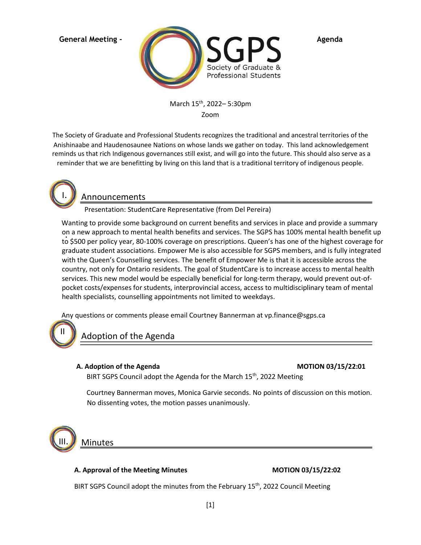

March 15th, 2022– 5:30pm Zoom

The Society of Graduate and Professional Students recognizes the traditional and ancestral territories of the Anishinaabe and Haudenosaunee Nations on whose lands we gather on today. This land acknowledgement reminds us that rich Indigenous governances still exist, and will go into the future. This should also serve as a reminder that we are benefitting by living on this land that is a traditional territory of indigenous people.



# Announcements

Presentation: StudentCare Representative (from Del Pereira)

Wanting to provide some background on current benefits and services in place and provide a summary on a new approach to mental health benefits and services. The SGPS has 100% mental health benefit up . to \$500 per policy year, 80-100% coverage on prescriptions. Queen's has one of the highest coverage for graduate student associations. Empower Me is also accessible for SGPS members, and is fully integrated with the Queen's Counselling services. The benefit of Empower Me is that it is accessible across the country, not only for Ontario residents. The goal of StudentCare is to increase access to mental health services. This new model would be especially beneficial for long-term therapy, would prevent out-ofpocket costs/expenses for students, interprovincial access, access to multidisciplinary team of mental health specialists, counselling appointments not limited to weekdays.

Any questions or comments please email Courtney Bannerman at vp.finance@sgps.ca



Adoption of the Agenda

### **A. Adoption of the Agenda MOTION 03/15/22:01**

BIRT SGPS Council adopt the Agenda for the March  $15<sup>th</sup>$ , 2022 Meeting

Courtney Bannerman moves, Monica Garvie seconds. No points of discussion on this motion. No dissenting votes, the motion passes unanimously.



Minutes

### **A. Approval of the Meeting Minutes MOTION 03/15/22:02**

BIRT SGPS Council adopt the minutes from the February  $15<sup>th</sup>$ , 2022 Council Meeting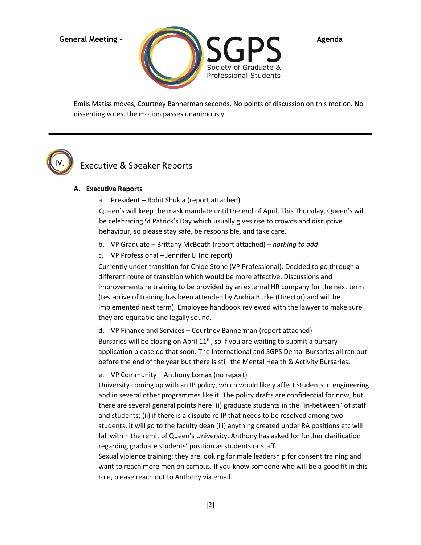

Emils Matiss moves, Courtney Bannerman seconds. No points of discussion on this motion. No dissenting votes, the motion passes unanimously.



# Executive & Speaker Reports

### **A. Executive Reports**

a. President – Rohit Shukla (report attached)

Queen's will keep the mask mandate until the end of April. This Thursday, Queen's will be celebrating St Patrick's Day which usually gives rise to crowds and disruptive behaviour, so please stay safe, be responsible, and take care.

- b. VP Graduate Brittany McBeath (report attached) *nothing to add*
- c. VP Professional Jennifer Li (no report)

Currently under transition for Chloe Stone (VP Professional). Decided to go through a different route of transition which would be more effective. Discussions and improvements re training to be provided by an external HR company for the next term (test-drive of training has been attended by Andria Burke (Director) and will be implemented next term). Employee handbook reviewed with the lawyer to make sure they are equitable and legally sound.

d. VP Finance and Services – Courtney Bannerman (report attached) Bursaries will be closing on April  $11<sup>th</sup>$ , so if you are waiting to submit a bursary application please do that soon. The International and SGPS Dental Bursaries all ran out before the end of the year but there is still the Mental Health & Activity Bursaries.

e. VP Community – Anthony Lomax (no report)

University coming up with an IP policy, which would likely affect students in engineering and in several other programmes like it. The policy drafts are confidential for now, but there are several general points here: (i) graduate students in the "in-between" of staff and students; (ii) if there is a dispute re IP that needs to be resolved among two students, it will go to the faculty dean (iii) anything created under RA positions etc will fall within the remit of Queen's University. Anthony has asked for further clarification regarding graduate students' position as students or staff.

Sexual violence training: they are looking for male leadership for consent training and want to reach more men on campus. If you know someone who will be a good fit in this role, please reach out to Anthony via email.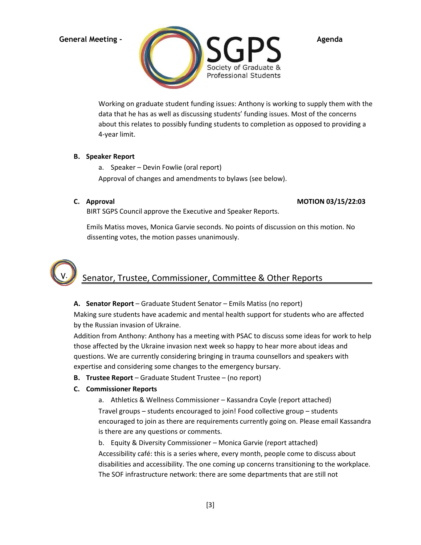

Working on graduate student funding issues: Anthony is working to supply them with the data that he has as well as discussing students' funding issues. Most of the concerns about this relates to possibly funding students to completion as opposed to providing a 4-year limit.

### **B. Speaker Report**

- a. Speaker Devin Fowlie (oral report) Approval of changes and amendments to bylaws (see below).
- 

### **C. Approval MOTION 03/15/22:03**

BIRT SGPS Council approve the Executive and Speaker Reports.

Emils Matiss moves, Monica Garvie seconds. No points of discussion on this motion. No dissenting votes, the motion passes unanimously.



### **A. Senator Report** – Graduate Student Senator – Emils Matiss (no report)

Making sure students have academic and mental health support for students who are affected by the Russian invasion of Ukraine.

Addition from Anthony: Anthony has a meeting with PSAC to discuss some ideas for work to help those affected by the Ukraine invasion next week so happy to hear more about ideas and questions. We are currently considering bringing in trauma counsellors and speakers with expertise and considering some changes to the emergency bursary.

**B. Trustee Report** – Graduate Student Trustee – (no report)

# **C. Commissioner Reports**

a. Athletics & Wellness Commissioner – Kassandra Coyle (report attached) Travel groups – students encouraged to join! Food collective group – students encouraged to join as there are requirements currently going on. Please email Kassandra is there are any questions or comments.

b. Equity & Diversity Commissioner – Monica Garvie (report attached) Accessibility café: this is a series where, every month, people come to discuss about disabilities and accessibility. The one coming up concerns transitioning to the workplace. The SOF infrastructure network: there are some departments that are still not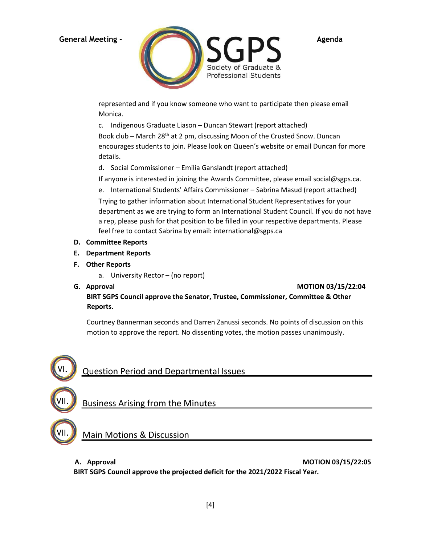

represented and if you know someone who want to participate then please email Monica.

c. Indigenous Graduate Liason – Duncan Stewart (report attached)

Book club – March 28<sup>th</sup> at 2 pm, discussing Moon of the Crusted Snow. Duncan encourages students to join. Please look on Queen's website or email Duncan for more details.

d. Social Commissioner – Emilia Ganslandt (report attached)

If anyone is interested in joining the Awards Committee, please email social@sgps.ca.

e. International Students' Affairs Commissioner – Sabrina Masud (report attached)

Trying to gather information about International Student Representatives for your department as we are trying to form an International Student Council. If you do not have a rep, please push for that position to be filled in your respective departments. Please feel free to contact Sabrina by email: international@sgps.ca

- **D. Committee Reports**
- **E. Department Reports**
- **F. Other Reports** 
	- a. University Rector (no report)
- 

**G.** Approval **MOTION 03/15/22:04** 

**BIRT SGPS Council approve the Senator, Trustee, Commissioner, Committee & Other Reports.**

Courtney Bannerman seconds and Darren Zanussi seconds. No points of discussion on this motion to approve the report. No dissenting votes, the motion passes unanimously.



# Business Arising from the Minutes

**Main Motions & Discussion** 

VII.

VII.

**A. Approval MOTION 03/15/22:05** 

**BIRT SGPS Council approve the projected deficit for the 2021/2022 Fiscal Year.**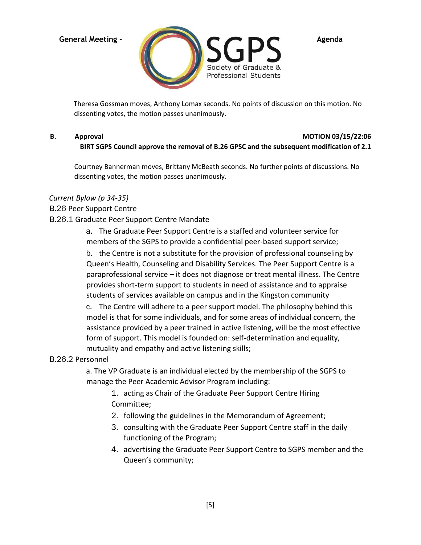

Theresa Gossman moves, Anthony Lomax seconds. No points of discussion on this motion. No dissenting votes, the motion passes unanimously.

### **B.** Approval **MOTION 03/15/22:06 BIRT SGPS Council approve the removal of B.26 GPSC and the subsequent modification of 2.1**

Courtney Bannerman moves, Brittany McBeath seconds. No further points of discussions. No dissenting votes, the motion passes unanimously.

### *Current Bylaw (p 34-35)*

### B.26 Peer Support Centre

### B.26.1 Graduate Peer Support Centre Mandate

a. The Graduate Peer Support Centre is a staffed and volunteer service for members of the SGPS to provide a confidential peer-based support service;

b. the Centre is not a substitute for the provision of professional counseling by Queen's Health, Counseling and Disability Services. The Peer Support Centre is a paraprofessional service – it does not diagnose or treat mental illness. The Centre provides short-term support to students in need of assistance and to appraise students of services available on campus and in the Kingston community

c. The Centre will adhere to a peer support model. The philosophy behind this model is that for some individuals, and for some areas of individual concern, the assistance provided by a peer trained in active listening, will be the most effective form of support. This model is founded on: self-determination and equality, mutuality and empathy and active listening skills;

# B.26.2 Personnel

a. The VP Graduate is an individual elected by the membership of the SGPS to manage the Peer Academic Advisor Program including:

1. acting as Chair of the Graduate Peer Support Centre Hiring Committee;

- 2. following the guidelines in the Memorandum of Agreement;
- 3. consulting with the Graduate Peer Support Centre staff in the daily functioning of the Program;
- 4. advertising the Graduate Peer Support Centre to SGPS member and the Queen's community;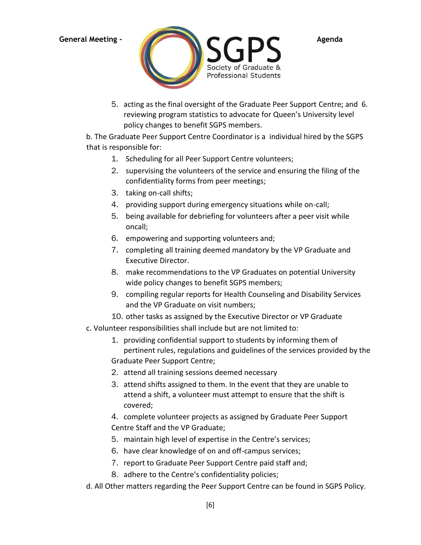

5. acting as the final oversight of the Graduate Peer Support Centre; and 6. reviewing program statistics to advocate for Queen's University level policy changes to benefit SGPS members.

b. The Graduate Peer Support Centre Coordinator is a individual hired by the SGPS that is responsible for:

- 1. Scheduling for all Peer Support Centre volunteers;
- 2. supervising the volunteers of the service and ensuring the filing of the confidentiality forms from peer meetings;
- 3. taking on-call shifts;
- 4. providing support during emergency situations while on-call;
- 5. being available for debriefing for volunteers after a peer visit while oncall;
- 6. empowering and supporting volunteers and;
- 7. completing all training deemed mandatory by the VP Graduate and Executive Director.
- 8. make recommendations to the VP Graduates on potential University wide policy changes to benefit SGPS members;
- 9. compiling regular reports for Health Counseling and Disability Services and the VP Graduate on visit numbers;
- 10. other tasks as assigned by the Executive Director or VP Graduate
- c. Volunteer responsibilities shall include but are not limited to:
	- 1. providing confidential support to students by informing them of pertinent rules, regulations and guidelines of the services provided by the Graduate Peer Support Centre;
	- 2. attend all training sessions deemed necessary
	- 3. attend shifts assigned to them. In the event that they are unable to attend a shift, a volunteer must attempt to ensure that the shift is covered;
	- 4. complete volunteer projects as assigned by Graduate Peer Support Centre Staff and the VP Graduate;
	- 5. maintain high level of expertise in the Centre's services;
	- 6. have clear knowledge of on and off-campus services;
	- 7. report to Graduate Peer Support Centre paid staff and;
	- 8. adhere to the Centre's confidentiality policies;
- d. All Other matters regarding the Peer Support Centre can be found in SGPS Policy.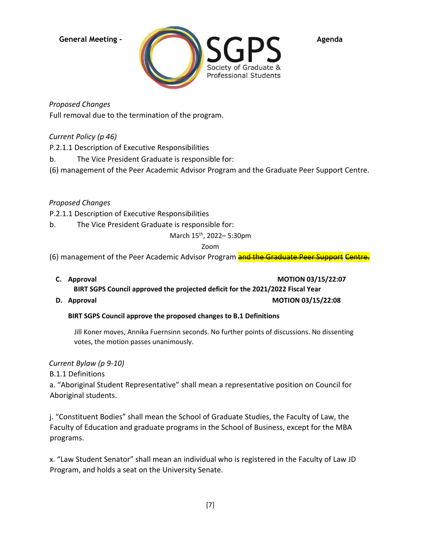

*Proposed Changes*

Full removal due to the termination of the program.

*Current Policy (p 46)*

P.2.1.1 Description of Executive Responsibilities

b. The Vice President Graduate is responsible for:

(6) management of the Peer Academic Advisor Program and the Graduate Peer Support Centre.

*Proposed Changes*

P.2.1.1 Description of Executive Responsibilities

b. The Vice President Graduate is responsible for:

March 15th, 2022– 5:30pm

Zoom

(6) management of the Peer Academic Advisor Program and the Graduate Peer Support Centre.

- **C.** Approval **C. Approval BIRT SGPS Council approved the projected deficit for the 2021/2022 Fiscal Year**
- **D.** Approval **D. Approval D. Approval**

# **BIRT SGPS Council approve the proposed changes to B.1 Definitions**

Jill Koner moves, Annika Fuernsinn seconds. No further points of discussions. No dissenting votes, the motion passes unanimously.

*Current Bylaw (p 9-10)*

B.1.1 Definitions

a. "Aboriginal Student Representative" shall mean a representative position on Council for Aboriginal students.

j. "Constituent Bodies" shall mean the School of Graduate Studies, the Faculty of Law, the Faculty of Education and graduate programs in the School of Business, except for the MBA programs.

x. "Law Student Senator" shall mean an individual who is registered in the Faculty of Law JD Program, and holds a seat on the University Senate.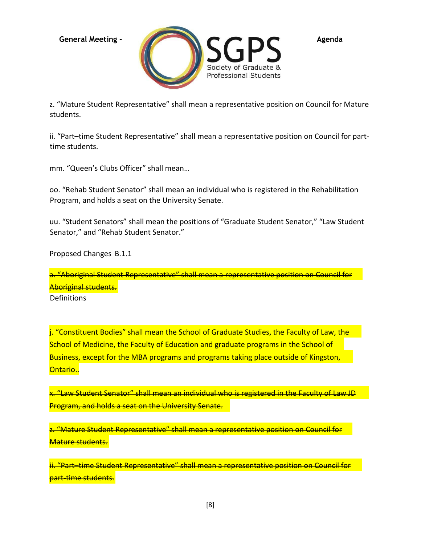

z. "Mature Student Representative" shall mean a representative position on Council for Mature students.

ii. "Part–time Student Representative" shall mean a representative position on Council for parttime students.

mm. "Queen's Clubs Officer" shall mean…

oo. "Rehab Student Senator" shall mean an individual who is registered in the Rehabilitation Program, and holds a seat on the University Senate.

uu. "Student Senators" shall mean the positions of "Graduate Student Senator," "Law Student Senator," and "Rehab Student Senator."

Proposed Changes B.1.1

**Definitions** a. "Aboriginal Student Representative" shall mean a representative position on Council for Aboriginal students.

j. "Constituent Bodies" shall mean the School of Graduate Studies, the Faculty of Law, the School of Medicine, the Faculty of Education and graduate programs in the School of Business, except for the MBA programs and programs taking place outside of Kingston, Ontario..

x. "Law Student Senator" shall mean an individual who is registered in the Faculty of Law JD Program, and holds a seat on the University Senate.

z. "Mature Student Representative" shall mean a representative position on Council for Mature students.

<u>"Part–time Student Representative" shall mean a representative position on Council for</u> **part-time students.**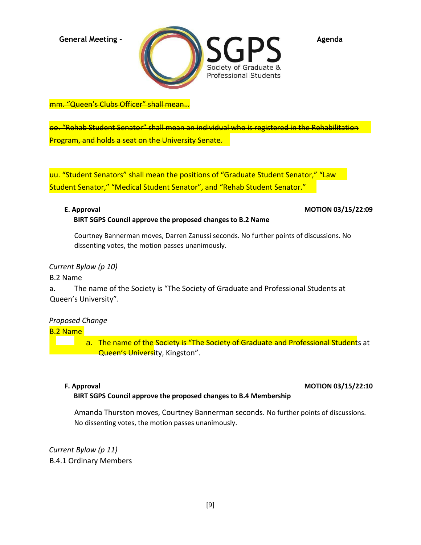

mm. "Queen's Clubs Officer" shall mean…

oo. "Rehab Student Senator" shall mean an individual who is registered in the Rehabilitation Program, and holds a seat on the University Senate.

uu. "Student Senators" shall mean the positions of "Graduate Student Senator," "Law Student Senator," "Medical Student Senator", and "Rehab Student Senator."

**BIRT SGPS Council approve the proposed changes to B.2 Name** 

### **E. Approval MOTION 03/15/22:09**

Courtney Bannerman moves, Darren Zanussi seconds. No further points of discussions. No

dissenting votes, the motion passes unanimously.

### *Current Bylaw (p 10)*

B.2 Name

a. The name of the Society is "The Society of Graduate and Professional Students at Queen's University".

# *Proposed Change*

B.2 Name

a. The name of the Society is "The Society of Graduate and Professional Students at Queen's University, Kingston".

### **F. Approval MOTION 03/15/22:10**

### **BIRT SGPS Council approve the proposed changes to B.4 Membership**

Amanda Thurston moves, Courtney Bannerman seconds. No further points of discussions. No dissenting votes, the motion passes unanimously.

*Current Bylaw (p 11)* B.4.1 Ordinary Members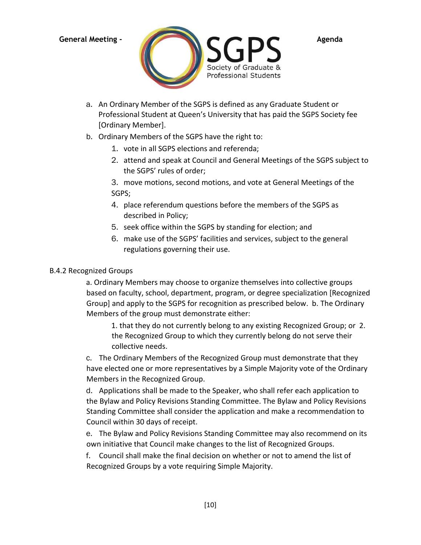

a. An Ordinary Member of the SGPS is defined as any Graduate Student or Professional Student at Queen's University that has paid the SGPS Society fee [Ordinary Member].

# b. Ordinary Members of the SGPS have the right to:

- 1. vote in all SGPS elections and referenda;
- 2. attend and speak at Council and General Meetings of the SGPS subject to the SGPS' rules of order;

3. move motions, second motions, and vote at General Meetings of the SGPS;

- 4. place referendum questions before the members of the SGPS as described in Policy;
- 5. seek office within the SGPS by standing for election; and
- 6. make use of the SGPS' facilities and services, subject to the general regulations governing their use.

### B.4.2 Recognized Groups

a. Ordinary Members may choose to organize themselves into collective groups based on faculty, school, department, program, or degree specialization [Recognized Group] and apply to the SGPS for recognition as prescribed below. b. The Ordinary Members of the group must demonstrate either:

1. that they do not currently belong to any existing Recognized Group; or 2. the Recognized Group to which they currently belong do not serve their collective needs.

c. The Ordinary Members of the Recognized Group must demonstrate that they have elected one or more representatives by a Simple Majority vote of the Ordinary Members in the Recognized Group.

d. Applications shall be made to the Speaker, who shall refer each application to the Bylaw and Policy Revisions Standing Committee. The Bylaw and Policy Revisions Standing Committee shall consider the application and make a recommendation to Council within 30 days of receipt.

e. The Bylaw and Policy Revisions Standing Committee may also recommend on its own initiative that Council make changes to the list of Recognized Groups.

f. Council shall make the final decision on whether or not to amend the list of Recognized Groups by a vote requiring Simple Majority.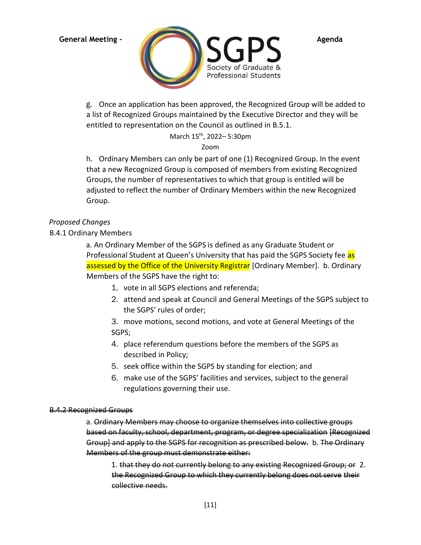

g. Once an application has been approved, the Recognized Group will be added to a list of Recognized Groups maintained by the Executive Director and they will be entitled to representation on the Council as outlined in B.5.1.

March 15th, 2022– 5:30pm

Zoom

h. Ordinary Members can only be part of one (1) Recognized Group. In the event that a new Recognized Group is composed of members from existing Recognized Groups, the number of representatives to which that group is entitled will be adjusted to reflect the number of Ordinary Members within the new Recognized Group.

# *Proposed Changes*

B.4.1 Ordinary Members

a. An Ordinary Member of the SGPS is defined as any Graduate Student or Professional Student at Queen's University that has paid the SGPS Society fee as assessed by the Office of the University Registrar [Ordinary Member]. b. Ordinary Members of the SGPS have the right to:

- 1. vote in all SGPS elections and referenda;
- 2. attend and speak at Council and General Meetings of the SGPS subject to the SGPS' rules of order;

3. move motions, second motions, and vote at General Meetings of the SGPS;

- 4. place referendum questions before the members of the SGPS as described in Policy;
- 5. seek office within the SGPS by standing for election; and
- 6. make use of the SGPS' facilities and services, subject to the general regulations governing their use.

# B.4.2 Recognized Groups

a. Ordinary Members may choose to organize themselves into collective groups based on faculty, school, department, program, or degree specialization [Recognized Group] and apply to the SGPS for recognition as prescribed below. b. The Ordinary Members of the group must demonstrate either:

1. that they do not currently belong to any existing Recognized Group; or 2. the Recognized Group to which they currently belong does not serve their collective needs.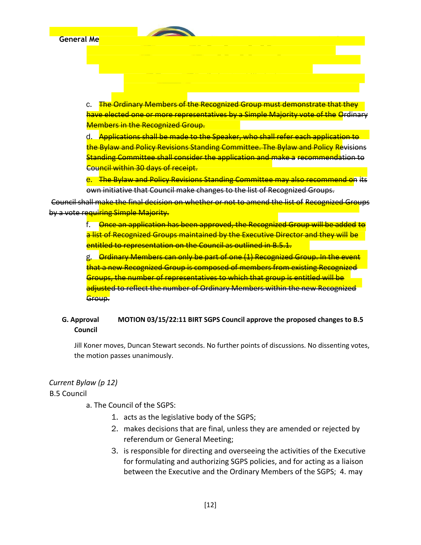c. The Ordinary Members of the Recognized Group must demonstrate that they have elected one or more representatives by a Simple Majority vote of the Ordinary Members in the Recognized Group.

d. Applications shall be made to the Speaker, who shall refer each application to the Bylaw and Policy Revisions Standing Committee. The Bylaw and Policy Revisions Standing Committee shall consider the application and make a recommendation to Council within 30 days of receipt.

e. The Bylaw and Policy Revisions Standing Committee may also recommend on its own initiative that Council make changes to the list of Recognized Groups.

Council shall make the final decision on whether or not to amend the list of Recognized Groups by a vote requiring Simple Majority.

> f. Once an application has been approved, the Recognized Group will be added to a list of Recognized Groups maintained by the Executive Director and they will be entitled to representation on the Council as outlined in B.5.1.

g. Ordinary Members can only be part of one (1) Recognized Group. In the event that a new Recognized Group is composed of members from existing Recognized Groups, the number of representatives to which that group is entitled will be adjusted to reflect the number of Ordinary Members within the new Recognized Group.

# **G. Approval MOTION 03/15/22:11 BIRT SGPS Council approve the proposed changes to B.5 Council**

Jill Koner moves, Duncan Stewart seconds. No further points of discussions. No dissenting votes, the motion passes unanimously.

# *Current Bylaw (p 12)*

B.5 Council

a. The Council of the SGPS:

- 1. acts as the legislative body of the SGPS;
- 2. makes decisions that are final, unless they are amended or rejected by referendum or General Meeting;
- 3. is responsible for directing and overseeing the activities of the Executive for formulating and authorizing SGPS policies, and for acting as a liaison between the Executive and the Ordinary Members of the SGPS; 4. may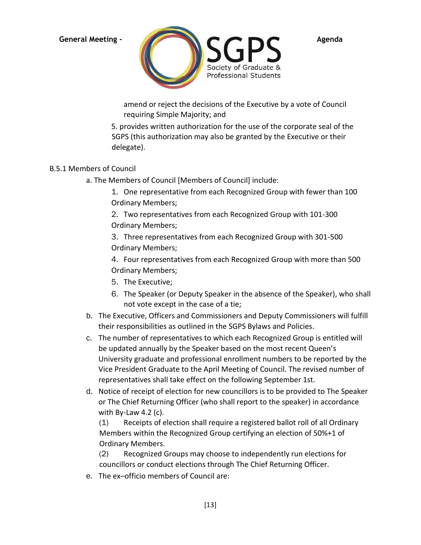

amend or reject the decisions of the Executive by a vote of Council requiring Simple Majority; and

5. provides written authorization for the use of the corporate seal of the SGPS (this authorization may also be granted by the Executive or their delegate).

# B.5.1 Members of Council

a. The Members of Council [Members of Council] include:

1. One representative from each Recognized Group with fewer than 100 Ordinary Members;

2. Two representatives from each Recognized Group with 101-300 Ordinary Members;

3. Three representatives from each Recognized Group with 301-500 Ordinary Members;

4. Four representatives from each Recognized Group with more than 500 Ordinary Members;

- 5. The Executive;
- 6. The Speaker (or Deputy Speaker in the absence of the Speaker), who shall not vote except in the case of a tie;
- b. The Executive, Officers and Commissioners and Deputy Commissioners will fulfill their responsibilities as outlined in the SGPS Bylaws and Policies.
- c. The number of representatives to which each Recognized Group is entitled will be updated annually by the Speaker based on the most recent Queen's University graduate and professional enrollment numbers to be reported by the Vice President Graduate to the April Meeting of Council. The revised number of representatives shall take effect on the following September 1st.
- d. Notice of receipt of election for new councillors is to be provided to The Speaker or The Chief Returning Officer (who shall report to the speaker) in accordance with By-Law 4.2 (c).

(1) Receipts of election shall require a registered ballot roll of all Ordinary Members within the Recognized Group certifying an election of 50%+1 of Ordinary Members.

(2) Recognized Groups may choose to independently run elections for councillors or conduct elections through The Chief Returning Officer.

e. The ex–officio members of Council are: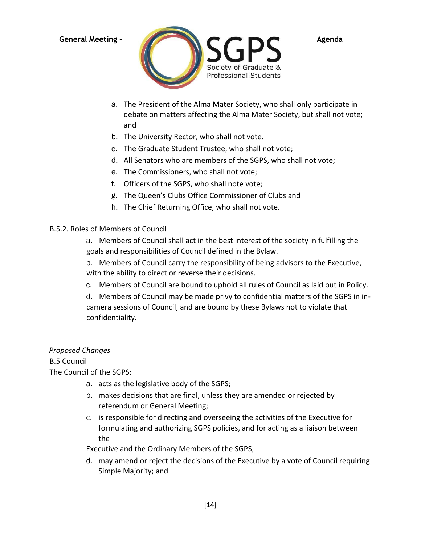

- a. The President of the Alma Mater Society, who shall only participate in debate on matters affecting the Alma Mater Society, but shall not vote; and
- b. The University Rector, who shall not vote.
- c. The Graduate Student Trustee, who shall not vote;
- d. All Senators who are members of the SGPS, who shall not vote;
- e. The Commissioners, who shall not vote;
- f. Officers of the SGPS, who shall note vote;
- g. The Queen's Clubs Office Commissioner of Clubs and
- h. The Chief Returning Office, who shall not vote.

# B.5.2. Roles of Members of Council

a. Members of Council shall act in the best interest of the society in fulfilling the goals and responsibilities of Council defined in the Bylaw.

b. Members of Council carry the responsibility of being advisors to the Executive, with the ability to direct or reverse their decisions.

c. Members of Council are bound to uphold all rules of Council as laid out in Policy.

d. Members of Council may be made privy to confidential matters of the SGPS in incamera sessions of Council, and are bound by these Bylaws not to violate that confidentiality.

# *Proposed Changes*

B.5 Council

The Council of the SGPS:

- a. acts as the legislative body of the SGPS;
- b. makes decisions that are final, unless they are amended or rejected by referendum or General Meeting;
- c. is responsible for directing and overseeing the activities of the Executive for formulating and authorizing SGPS policies, and for acting as a liaison between the

Executive and the Ordinary Members of the SGPS;

d. may amend or reject the decisions of the Executive by a vote of Council requiring Simple Majority; and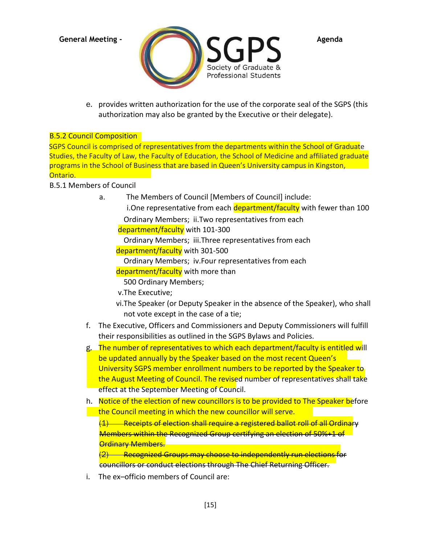

e. provides written authorization for the use of the corporate seal of the SGPS (this authorization may also be granted by the Executive or their delegate).

# **B.5.2 Council Composition**

SGPS Council is comprised of representatives from the departments within the School of Graduate Studies, the Faculty of Law, the Faculty of Education, the School of Medicine and affiliated graduate programs in the School of Business that are based in Queen's University campus in Kingston, Ontario.

# B.5.1 Members of Council

a. The Members of Council [Members of Council] include: i.One representative from each department/faculty with fewer than 100 Ordinary Members; ii.Two representatives from each

department/faculty with 101-300

Ordinary Members; iii.Three representatives from each

department/faculty with 301-500

Ordinary Members; iv.Four representatives from each

department/faculty with more than

500 Ordinary Members;

v.The Executive;

- vi.The Speaker (or Deputy Speaker in the absence of the Speaker), who shall not vote except in the case of a tie;
- f. The Executive, Officers and Commissioners and Deputy Commissioners will fulfill their responsibilities as outlined in the SGPS Bylaws and Policies.
- g. The number of representatives to which each department/faculty is entitled will be updated annually by the Speaker based on the most recent Queen's University SGPS member enrollment numbers to be reported by the Speaker to the August Meeting of Council. The revised number of representatives shall take effect at the September Meeting of Council.
- h. Notice of the election of new councillors is to be provided to The Speaker before the Council meeting in which the new councillor will serve.

Receipts of election shall require a registered ballot roll of all Ordin Members within the Recognized Group certifying an election of 50%+1 of Ordinary Members.

Recognized Groups may choose to independently run elections for councillors or conduct elections through The Chief Returning Officer.

i. The ex–officio members of Council are: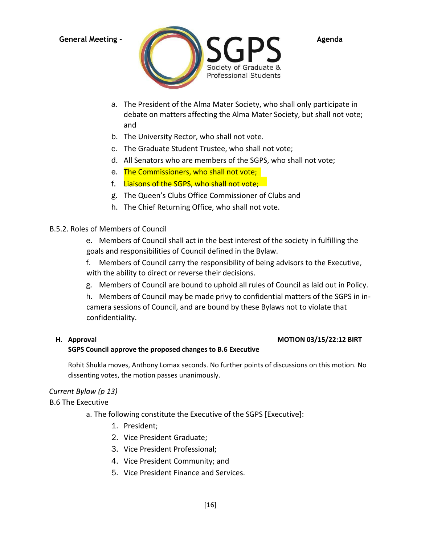

- a. The President of the Alma Mater Society, who shall only participate in debate on matters affecting the Alma Mater Society, but shall not vote; and
- b. The University Rector, who shall not vote.
- c. The Graduate Student Trustee, who shall not vote;
- d. All Senators who are members of the SGPS, who shall not vote;
- e. The Commissioners, who shall not vote;
- f. Liaisons of the SGPS, who shall not vote;
- g. The Queen's Clubs Office Commissioner of Clubs and
- h. The Chief Returning Office, who shall not vote.

### B.5.2. Roles of Members of Council

e. Members of Council shall act in the best interest of the society in fulfilling the goals and responsibilities of Council defined in the Bylaw.

f. Members of Council carry the responsibility of being advisors to the Executive, with the ability to direct or reverse their decisions.

g. Members of Council are bound to uphold all rules of Council as laid out in Policy.

h. Members of Council may be made privy to confidential matters of the SGPS in incamera sessions of Council, and are bound by these Bylaws not to violate that confidentiality.

# **H. Approval MOTION 03/15/22:12 BIRT**

### **SGPS Council approve the proposed changes to B.6 Executive**

Rohit Shukla moves, Anthony Lomax seconds. No further points of discussions on this motion. No dissenting votes, the motion passes unanimously.

# *Current Bylaw (p 13)*

B.6 The Executive

a. The following constitute the Executive of the SGPS [Executive]:

- 1. President;
- 2. Vice President Graduate;
- 3. Vice President Professional;
- 4. Vice President Community; and
- 5. Vice President Finance and Services.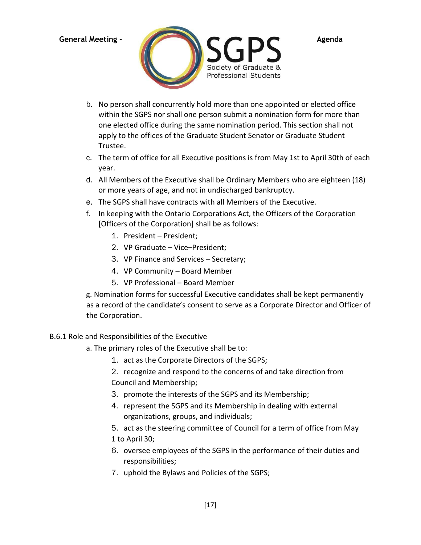

- b. No person shall concurrently hold more than one appointed or elected office within the SGPS nor shall one person submit a nomination form for more than one elected office during the same nomination period. This section shall not apply to the offices of the Graduate Student Senator or Graduate Student Trustee.
- c. The term of office for all Executive positions is from May 1st to April 30th of each year.
- d. All Members of the Executive shall be Ordinary Members who are eighteen (18) or more years of age, and not in undischarged bankruptcy.
- e. The SGPS shall have contracts with all Members of the Executive.
- f. In keeping with the Ontario Corporations Act, the Officers of the Corporation [Officers of the Corporation] shall be as follows:
	- 1. President President;
	- 2. VP Graduate Vice–President;
	- 3. VP Finance and Services Secretary;
	- 4. VP Community Board Member
	- 5. VP Professional Board Member

g. Nomination forms for successful Executive candidates shall be kept permanently as a record of the candidate's consent to serve as a Corporate Director and Officer of the Corporation.

# B.6.1 Role and Responsibilities of the Executive

- a. The primary roles of the Executive shall be to:
	- 1. act as the Corporate Directors of the SGPS;
	- 2. recognize and respond to the concerns of and take direction from Council and Membership;
	- 3. promote the interests of the SGPS and its Membership;
	- 4. represent the SGPS and its Membership in dealing with external organizations, groups, and individuals;
	- 5. act as the steering committee of Council for a term of office from May 1 to April 30;
	- 6. oversee employees of the SGPS in the performance of their duties and responsibilities;
	- 7. uphold the Bylaws and Policies of the SGPS;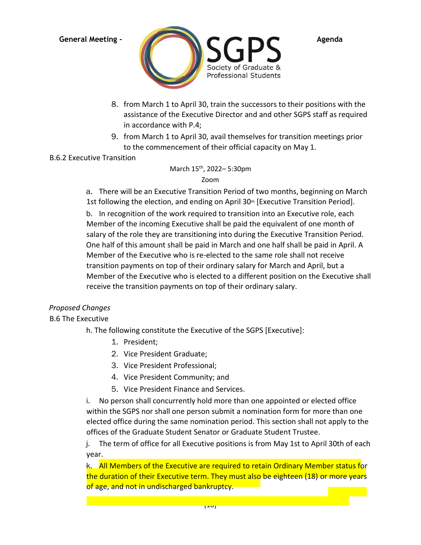

- 8. from March 1 to April 30, train the successors to their positions with the assistance of the Executive Director and and other SGPS staff as required in accordance with P.4;
- 9. from March 1 to April 30, avail themselves for transition meetings prior to the commencement of their official capacity on May 1.

# B.6.2 Executive Transition

March 15th, 2022– 5:30pm Zoom

a. There will be an Executive Transition Period of two months, beginning on March 1st following the election, and ending on April 30<sup>th</sup> [Executive Transition Period].

b. In recognition of the work required to transition into an Executive role, each Member of the incoming Executive shall be paid the equivalent of one month of salary of the role they are transitioning into during the Executive Transition Period. One half of this amount shall be paid in March and one half shall be paid in April. A Member of the Executive who is re-elected to the same role shall not receive transition payments on top of their ordinary salary for March and April, but a Member of the Executive who is elected to a different position on the Executive shall receive the transition payments on top of their ordinary salary.

# *Proposed Changes*

B.6 The Executive

h. The following constitute the Executive of the SGPS [Executive]:

- 1. President;
- 2. Vice President Graduate;
- 3. Vice President Professional;
- 4. Vice President Community; and
- 5. Vice President Finance and Services.

i. No person shall concurrently hold more than one appointed or elected office within the SGPS nor shall one person submit a nomination form for more than one elected office during the same nomination period. This section shall not apply to the offices of the Graduate Student Senator or Graduate Student Trustee.

j. The term of office for all Executive positions is from May 1st to April 30th of each year.

k. All Members of the Executive are required to retain Ordinary Member status for the duration of their Executive term. They must also be eighteen (18) or more years of age, and not in undischarged bankruptcy.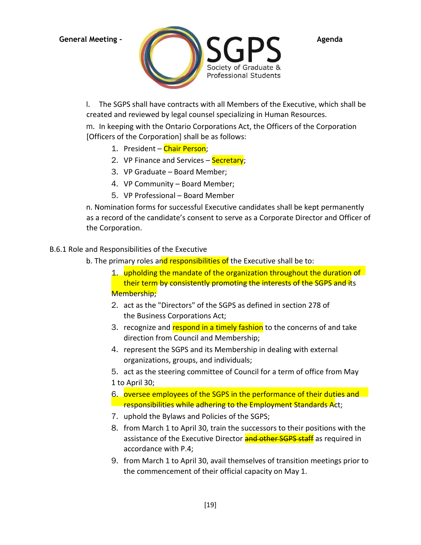

l. The SGPS shall have contracts with all Members of the Executive, which shall be created and reviewed by legal counsel specializing in Human Resources.

m. In keeping with the Ontario Corporations Act, the Officers of the Corporation [Officers of the Corporation] shall be as follows:

- 1. President Chair Person;
- 2. VP Finance and Services Secretary;
- 3. VP Graduate Board Member;
- 4. VP Community Board Member;
- 5. VP Professional Board Member

n. Nomination forms for successful Executive candidates shall be kept permanently as a record of the candidate's consent to serve as a Corporate Director and Officer of the Corporation.

# B.6.1 Role and Responsibilities of the Executive

b. The primary roles and responsibilities of the Executive shall be to:

- 1. upholding the mandate of the organization throughout the duration of their term by consistently promoting the interests of the SGPS and its Membership;
- 2. act as the "Directors" of the SGPS as defined in section 278 of the Business Corporations Act;
- 3. recognize and respond in a timely fashion to the concerns of and take direction from Council and Membership;
- 4. represent the SGPS and its Membership in dealing with external organizations, groups, and individuals;

5. act as the steering committee of Council for a term of office from May 1 to April 30;

- 6. oversee employees of the SGPS in the performance of their duties and **Figure 2** responsibilities while adhering to the Employment Standards Act;
- 7. uphold the Bylaws and Policies of the SGPS;
- 8. from March 1 to April 30, train the successors to their positions with the assistance of the Executive Director and other SGPS staff as required in accordance with P.4;
- 9. from March 1 to April 30, avail themselves of transition meetings prior to the commencement of their official capacity on May 1.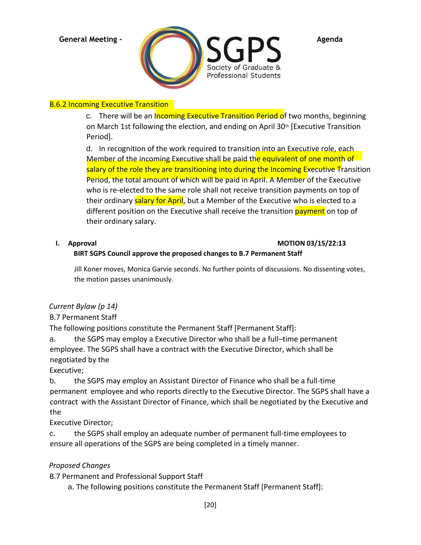

# **B.6.2 Incoming Executive Transition**

c. There will be an Incoming Executive Transition Period of two months, beginning on March 1st following the election, and ending on April 30th [Executive Transition Period].

d. In recognition of the work required to transition into an Executive role, each Member of the incoming Executive shall be paid the equivalent of one month of salary of the role they are transitioning into during the Incoming Executive Transition Period, the total amount of which will be paid in April. A Member of the Executive who is re-elected to the same role shall not receive transition payments on top of their ordinary salary for April, but a Member of the Executive who is elected to a different position on the Executive shall receive the transition payment on top of their ordinary salary.

# **I. Approval MOTION 03/15/22:13**

# **BIRT SGPS Council approve the proposed changes to B.7 Permanent Staff**

Jill Koner moves, Monica Garvie seconds. No further points of discussions. No dissenting votes, the motion passes unanimously.

# *Current Bylaw (p 14)*

# B.7 Permanent Staff

The following positions constitute the Permanent Staff [Permanent Staff]:

a. the SGPS may employ a Executive Director who shall be a full–time permanent employee. The SGPS shall have a contract with the Executive Director, which shall be negotiated by the

Executive;

b. the SGPS may employ an Assistant Director of Finance who shall be a full-time permanent employee and who reports directly to the Executive Director. The SGPS shall have a contract with the Assistant Director of Finance, which shall be negotiated by the Executive and the

Executive Director;

c. the SGPS shall employ an adequate number of permanent full-time employees to ensure all operations of the SGPS are being completed in a timely manner.

# *Proposed Changes*

B.7 Permanent and Professional Support Staff

a. The following positions constitute the Permanent Staff [Permanent Staff]: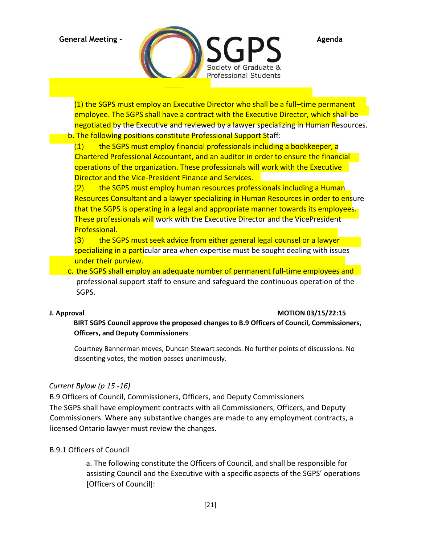

(1) the SGPS must employ an Executive Director who shall be a full–time permanent employee. The SGPS shall have a contract with the Executive Director, which shall be

negotiated by the Executive and reviewed by a lawyer specializing in Human Resources. b. The following positions constitute Professional Support Staff:

 $(1)$  the SGPS must employ financial professionals including a bookkeeper, a Chartered Professional Accountant, and an auditor in order to ensure the financial operations of the organization. These professionals will work with the Executive Director and the Vice-President Finance and Services.

 $(2)$  the SGPS must employ human resources professionals including a Human Resources Consultant and a lawyer specializing in Human Resources in order to ensure that the SGPS is operating in a legal and appropriate manner towards its employees. These professionals will work with the Executive Director and the VicePresident Professional.

(3) the SGPS must seek advice from either general legal counsel or a lawyer specializing in a particular area when expertise must be sought dealing with issues under their purview.

c. the SGPS shall employ an adequate number of permanent full-time employees and professional support staff to ensure and safeguard the continuous operation of the SGPS.

# **J. Approval MOTION 03/15/22:15**

**BIRT SGPS Council approve the proposed changes to B.9 Officers of Council, Commissioners, Officers, and Deputy Commissioners** 

Courtney Bannerman moves, Duncan Stewart seconds. No further points of discussions. No dissenting votes, the motion passes unanimously.

# *Current Bylaw (p 15 -16)*

B.9 Officers of Council, Commissioners, Officers, and Deputy Commissioners The SGPS shall have employment contracts with all Commissioners, Officers, and Deputy Commissioners. Where any substantive changes are made to any employment contracts, a licensed Ontario lawyer must review the changes.

# B.9.1 Officers of Council

a. The following constitute the Officers of Council, and shall be responsible for assisting Council and the Executive with a specific aspects of the SGPS' operations [Officers of Council]: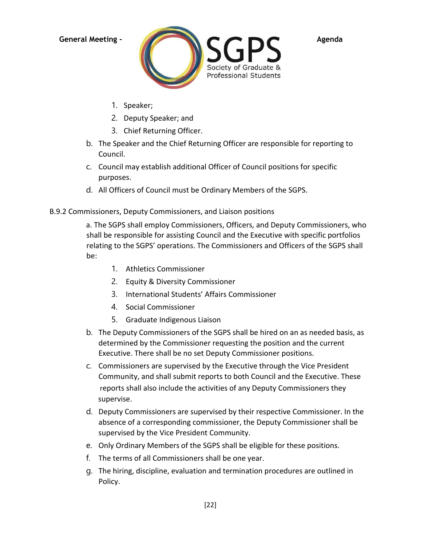

- 1. Speaker;
- 2. Deputy Speaker; and
- 3. Chief Returning Officer.
- b. The Speaker and the Chief Returning Officer are responsible for reporting to Council.
- c. Council may establish additional Officer of Council positions for specific purposes.
- d. All Officers of Council must be Ordinary Members of the SGPS.

# B.9.2 Commissioners, Deputy Commissioners, and Liaison positions

a. The SGPS shall employ Commissioners, Officers, and Deputy Commissioners, who shall be responsible for assisting Council and the Executive with specific portfolios relating to the SGPS' operations. The Commissioners and Officers of the SGPS shall be:

- 1. Athletics Commissioner
- 2. Equity & Diversity Commissioner
- 3. International Students' Affairs Commissioner
- 4. Social Commissioner
- 5. Graduate Indigenous Liaison
- b. The Deputy Commissioners of the SGPS shall be hired on an as needed basis, as determined by the Commissioner requesting the position and the current Executive. There shall be no set Deputy Commissioner positions.
- c. Commissioners are supervised by the Executive through the Vice President Community, and shall submit reports to both Council and the Executive. These reports shall also include the activities of any Deputy Commissioners they supervise.
- d. Deputy Commissioners are supervised by their respective Commissioner. In the absence of a corresponding commissioner, the Deputy Commissioner shall be supervised by the Vice President Community.
- e. Only Ordinary Members of the SGPS shall be eligible for these positions.
- f. The terms of all Commissioners shall be one year.
- g. The hiring, discipline, evaluation and termination procedures are outlined in Policy.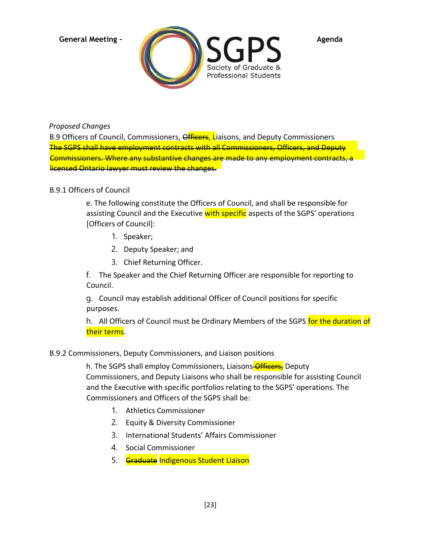

*Proposed Changes*

B.9 Officers of Council, Commissioners, Officers, Liaisons, and Deputy Commissioners The SGPS shall have employment contracts with all Commissioners, Officers, and Deputy Commissioners. Where any substantive changes are made to any employment contracts, licensed Ontario lawyer must review the changes.

# B.9.1 Officers of Council

e. The following constitute the Officers of Council, and shall be responsible for assisting Council and the Executive with specific aspects of the SGPS' operations [Officers of Council]:

- 1. Speaker;
- 2. Deputy Speaker; and
- 3. Chief Returning Officer.

f. The Speaker and the Chief Returning Officer are responsible for reporting to Council.

g. Council may establish additional Officer of Council positions for specific purposes.

h. All Officers of Council must be Ordinary Members of the SGPS for the duration of their terms.

# B.9.2 Commissioners, Deputy Commissioners, and Liaison positions

h. The SGPS shall employ Commissioners, Liaisons Officers, Deputy Commissioners, and Deputy Liaisons who shall be responsible for assisting Council and the Executive with specific portfolios relating to the SGPS' operations. The Commissioners and Officers of the SGPS shall be:

- 1. Athletics Commissioner
- 2. Equity & Diversity Commissioner
- 3. International Students' Affairs Commissioner
- 4. Social Commissioner
- 5. Graduate Indigenous Student Liaison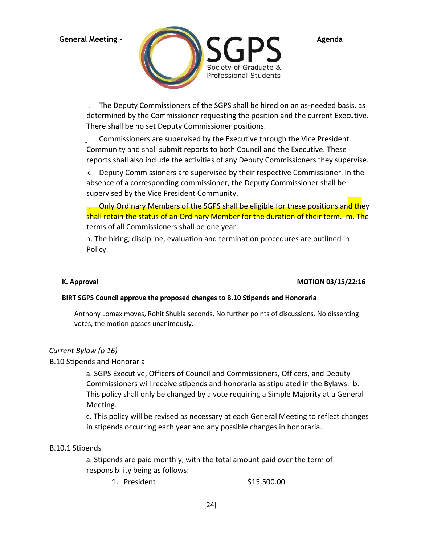

i. The Deputy Commissioners of the SGPS shall be hired on an as-needed basis, as determined by the Commissioner requesting the position and the current Executive. There shall be no set Deputy Commissioner positions.

j. Commissioners are supervised by the Executive through the Vice President Community and shall submit reports to both Council and the Executive. These reports shall also include the activities of any Deputy Commissioners they supervise.

k. Deputy Commissioners are supervised by their respective Commissioner. In the absence of a corresponding commissioner, the Deputy Commissioner shall be supervised by the Vice President Community.

l. Only Ordinary Members of the SGPS shall be eligible for these positions and they shall retain the status of an Ordinary Member for the duration of their term. m. The terms of all Commissioners shall be one year.

n. The hiring, discipline, evaluation and termination procedures are outlined in Policy.

# **K. Approval MOTION 03/15/22:16**

### **BIRT SGPS Council approve the proposed changes to B.10 Stipends and Honoraria**

Anthony Lomax moves, Rohit Shukla seconds. No further points of discussions. No dissenting votes, the motion passes unanimously.

# *Current Bylaw (p 16)*

# B.10 Stipends and Honoraria

a. SGPS Executive, Officers of Council and Commissioners, Officers, and Deputy Commissioners will receive stipends and honoraria as stipulated in the Bylaws. b. This policy shall only be changed by a vote requiring a Simple Majority at a General Meeting.

c. This policy will be revised as necessary at each General Meeting to reflect changes in stipends occurring each year and any possible changes in honoraria.

# B.10.1 Stipends

a. Stipends are paid monthly, with the total amount paid over the term of responsibility being as follows:

1. President \$15,500.00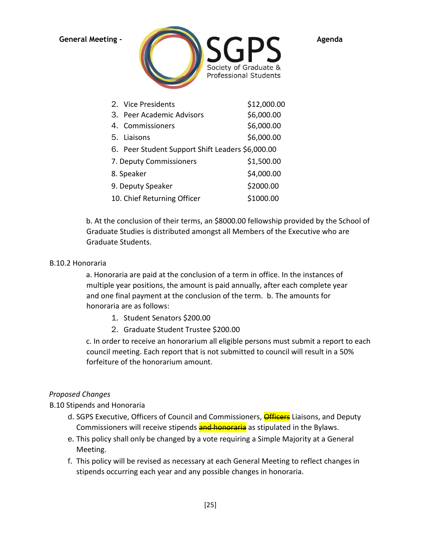

|                                          | 2. Vice Presidents                               | \$12,000.00 |
|------------------------------------------|--------------------------------------------------|-------------|
|                                          | 3. Peer Academic Advisors                        | \$6,000.00  |
|                                          | 4. Commissioners                                 | \$6,000.00  |
|                                          | 5. Liaisons                                      | \$6,000.00  |
|                                          | 6. Peer Student Support Shift Leaders \$6,000.00 |             |
| \$1,500.00<br>7. Deputy Commissioners    |                                                  |             |
| 8. Speaker                               |                                                  | \$4,000.00  |
| \$2000.00<br>9. Deputy Speaker           |                                                  |             |
| 10. Chief Returning Officer<br>\$1000.00 |                                                  |             |

b. At the conclusion of their terms, an \$8000.00 fellowship provided by the School of Graduate Studies is distributed amongst all Members of the Executive who are Graduate Students.

### B.10.2 Honoraria

a. Honoraria are paid at the conclusion of a term in office. In the instances of multiple year positions, the amount is paid annually, after each complete year and one final payment at the conclusion of the term. b. The amounts for honoraria are as follows:

- 1. Student Senators \$200.00
- 2. Graduate Student Trustee \$200.00

c. In order to receive an honorarium all eligible persons must submit a report to each council meeting. Each report that is not submitted to council will result in a 50% forfeiture of the honorarium amount.

# *Proposed Changes*

B.10 Stipends and Honoraria

- d. SGPS Executive, Officers of Council and Commissioners, **Officers** Liaisons, and Deputy Commissioners will receive stipends and honoraria as stipulated in the Bylaws.
- e. This policy shall only be changed by a vote requiring a Simple Majority at a General Meeting.
- f. This policy will be revised as necessary at each General Meeting to reflect changes in stipends occurring each year and any possible changes in honoraria.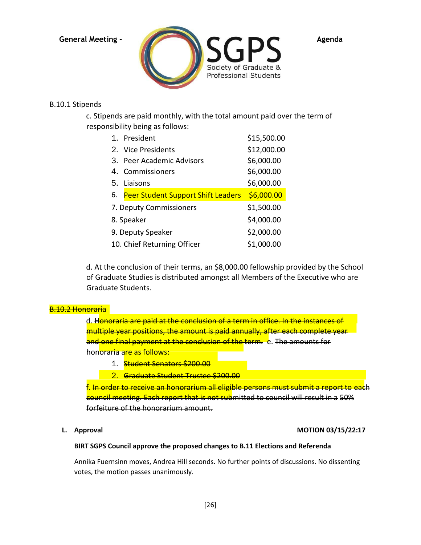

### B.10.1 Stipends

c. Stipends are paid monthly, with the total amount paid over the term of responsibility being as follows:

| 1. President                              | \$15,500.00           |
|-------------------------------------------|-----------------------|
| 2. Vice Presidents                        | \$12,000.00           |
| 3. Peer Academic Advisors                 | \$6,000.00            |
| 4. Commissioners                          | \$6,000.00            |
| 5. Liaisons                               | \$6,000.00            |
| <b>Peer Student Support Shift Leaders</b> | <del>\$6.000.00</del> |
| 7. Deputy Commissioners                   | \$1,500.00            |
| 8. Speaker                                | \$4,000.00            |
| 9. Deputy Speaker                         | \$2,000.00            |
| 10. Chief Returning Officer               | \$1,000.00            |
|                                           |                       |

d. At the conclusion of their terms, an \$8,000.00 fellowship provided by the School of Graduate Studies is distributed amongst all Members of the Executive who are Graduate Students.

### B.10.2 Honoraria

d. Honoraria are paid at the conclusion of a term in office. In the instances of multiple year positions, the amount is paid annually, after each complete year and one final payment at the conclusion of the term. e. The amounts for hon<mark>oraria are as follows:</mark>

- 1. Student Senators \$200.00
- 2. Graduate Student Trustee \$200.00

f. In order to receive an honorarium all eligible persons must submit a report to each council meeting. Each report that is not submitted to council will result in a 50% forfeiture of the honorarium amount.

### **L. Approval MOTION 03/15/22:17**

### **BIRT SGPS Council approve the proposed changes to B.11 Elections and Referenda**

Annika Fuernsinn moves, Andrea Hill seconds. No further points of discussions. No dissenting votes, the motion passes unanimously.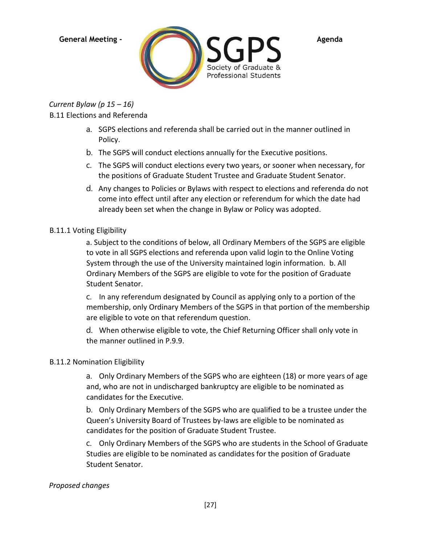

*Current Bylaw (p 15 – 16)* B.11 Elections and Referenda

- a. SGPS elections and referenda shall be carried out in the manner outlined in Policy.
- b. The SGPS will conduct elections annually for the Executive positions.
- c. The SGPS will conduct elections every two years, or sooner when necessary, for the positions of Graduate Student Trustee and Graduate Student Senator.
- d. Any changes to Policies or Bylaws with respect to elections and referenda do not come into effect until after any election or referendum for which the date had already been set when the change in Bylaw or Policy was adopted.

# B.11.1 Voting Eligibility

a. Subject to the conditions of below, all Ordinary Members of the SGPS are eligible to vote in all SGPS elections and referenda upon valid login to the Online Voting System through the use of the University maintained login information. b. All Ordinary Members of the SGPS are eligible to vote for the position of Graduate Student Senator.

c. In any referendum designated by Council as applying only to a portion of the membership, only Ordinary Members of the SGPS in that portion of the membership are eligible to vote on that referendum question.

d. When otherwise eligible to vote, the Chief Returning Officer shall only vote in the manner outlined in P.9.9.

# B.11.2 Nomination Eligibility

a. Only Ordinary Members of the SGPS who are eighteen (18) or more years of age and, who are not in undischarged bankruptcy are eligible to be nominated as candidates for the Executive.

b. Only Ordinary Members of the SGPS who are qualified to be a trustee under the Queen's University Board of Trustees by-laws are eligible to be nominated as candidates for the position of Graduate Student Trustee.

c. Only Ordinary Members of the SGPS who are students in the School of Graduate Studies are eligible to be nominated as candidates for the position of Graduate Student Senator.

# *Proposed changes*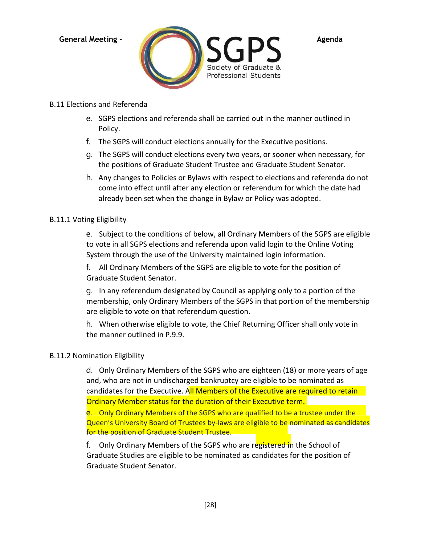

# B.11 Elections and Referenda

- e. SGPS elections and referenda shall be carried out in the manner outlined in Policy.
- f. The SGPS will conduct elections annually for the Executive positions.
- g. The SGPS will conduct elections every two years, or sooner when necessary, for the positions of Graduate Student Trustee and Graduate Student Senator.
- h. Any changes to Policies or Bylaws with respect to elections and referenda do not come into effect until after any election or referendum for which the date had already been set when the change in Bylaw or Policy was adopted.

# B.11.1 Voting Eligibility

e. Subject to the conditions of below, all Ordinary Members of the SGPS are eligible to vote in all SGPS elections and referenda upon valid login to the Online Voting System through the use of the University maintained login information.

f. All Ordinary Members of the SGPS are eligible to vote for the position of Graduate Student Senator.

g. In any referendum designated by Council as applying only to a portion of the membership, only Ordinary Members of the SGPS in that portion of the membership are eligible to vote on that referendum question.

h. When otherwise eligible to vote, the Chief Returning Officer shall only vote in the manner outlined in P.9.9.

# B.11.2 Nomination Eligibility

d. Only Ordinary Members of the SGPS who are eighteen (18) or more years of age and, who are not in undischarged bankruptcy are eligible to be nominated as candidates for the Executive. All Members of the Executive are required to retain Ordinary Member status for the duration of their Executive term.

e. Only Ordinary Members of the SGPS who are qualified to be a trustee under the Queen's University Board of Trustees by-laws are eligible to be nominated as candidates for the position of Graduate Student Trustee.

f. Only Ordinary Members of the SGPS who are registered in the School of Graduate Studies are eligible to be nominated as candidates for the position of Graduate Student Senator.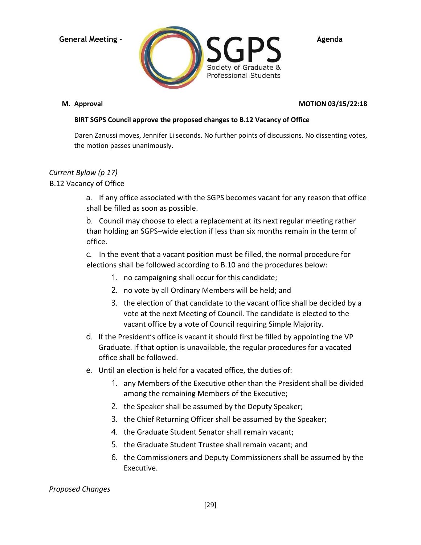

# **M. Approval MOTION 03/15/22:18**

# **BIRT SGPS Council approve the proposed changes to B.12 Vacancy of Office**

Daren Zanussi moves, Jennifer Li seconds. No further points of discussions. No dissenting votes, the motion passes unanimously.

# *Current Bylaw (p 17)*

B.12 Vacancy of Office

a. If any office associated with the SGPS becomes vacant for any reason that office shall be filled as soon as possible.

b. Council may choose to elect a replacement at its next regular meeting rather than holding an SGPS–wide election if less than six months remain in the term of office.

c. In the event that a vacant position must be filled, the normal procedure for elections shall be followed according to B.10 and the procedures below:

- 1. no campaigning shall occur for this candidate;
- 2. no vote by all Ordinary Members will be held; and
- 3. the election of that candidate to the vacant office shall be decided by a vote at the next Meeting of Council. The candidate is elected to the vacant office by a vote of Council requiring Simple Majority.
- d. If the President's office is vacant it should first be filled by appointing the VP Graduate. If that option is unavailable, the regular procedures for a vacated office shall be followed.
- e. Until an election is held for a vacated office, the duties of:
	- 1. any Members of the Executive other than the President shall be divided among the remaining Members of the Executive;
	- 2. the Speaker shall be assumed by the Deputy Speaker;
	- 3. the Chief Returning Officer shall be assumed by the Speaker;
	- 4. the Graduate Student Senator shall remain vacant;
	- 5. the Graduate Student Trustee shall remain vacant; and
	- 6. the Commissioners and Deputy Commissioners shall be assumed by the Executive.

*Proposed Changes*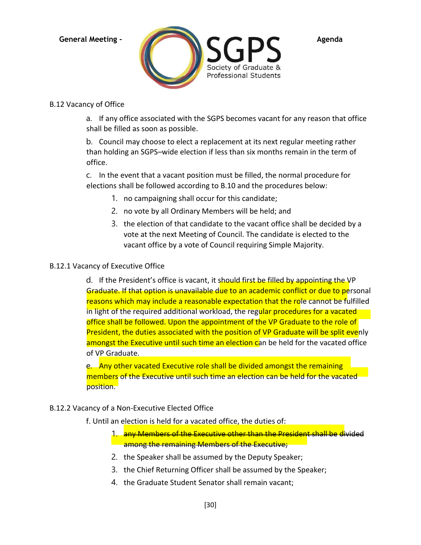

# B.12 Vacancy of Office

a. If any office associated with the SGPS becomes vacant for any reason that office shall be filled as soon as possible.

b. Council may choose to elect a replacement at its next regular meeting rather than holding an SGPS–wide election if less than six months remain in the term of office.

c. In the event that a vacant position must be filled, the normal procedure for elections shall be followed according to B.10 and the procedures below:

- 1. no campaigning shall occur for this candidate;
- 2. no vote by all Ordinary Members will be held; and
- 3. the election of that candidate to the vacant office shall be decided by a vote at the next Meeting of Council. The candidate is elected to the vacant office by a vote of Council requiring Simple Majority.

# B.12.1 Vacancy of Executive Office

d. If the President's office is vacant, it should first be filled by appointing the VP Graduate. If that option is unavailable due to an academic conflict or due to personal reasons which may include a reasonable expectation that the role cannot be fulfilled in light of the required additional workload, the regular procedures for a vacated office shall be followed. Upon the appointment of the VP Graduate to the role of President, the duties associated with the position of VP Graduate will be split evenly amongst the Executive until such time an election can be held for the vacated office of VP Graduate.

e. Any other vacated Executive role shall be divided amongst the remaining members of the Executive until such time an election can be held for the vacated position.

# B.12.2 Vacancy of a Non-Executive Elected Office

- f. Until an election is held for a vacated office, the duties of:
	- 1. any Members of the Executive other than the President shall be divided among the remaining Members of the Executive;
	- 2. the Speaker shall be assumed by the Deputy Speaker;
	- 3. the Chief Returning Officer shall be assumed by the Speaker;
	- 4. the Graduate Student Senator shall remain vacant;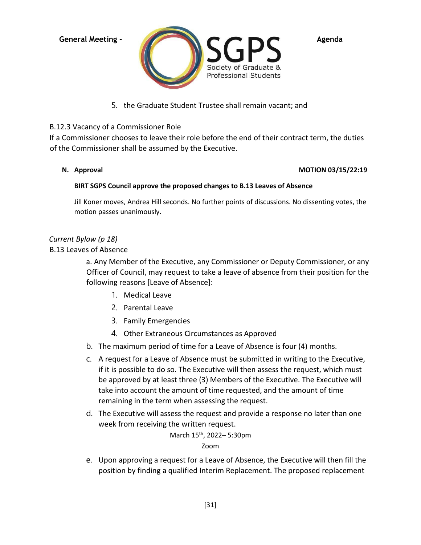

5. the Graduate Student Trustee shall remain vacant; and

# B.12.3 Vacancy of a Commissioner Role

If a Commissioner chooses to leave their role before the end of their contract term, the duties of the Commissioner shall be assumed by the Executive.

### **N. Approval MOTION 03/15/22:19**

### **BIRT SGPS Council approve the proposed changes to B.13 Leaves of Absence**

Jill Koner moves, Andrea Hill seconds. No further points of discussions. No dissenting votes, the motion passes unanimously.

# *Current Bylaw (p 18)*

B.13 Leaves of Absence

a. Any Member of the Executive, any Commissioner or Deputy Commissioner, or any Officer of Council, may request to take a leave of absence from their position for the following reasons [Leave of Absence]:

- 1. Medical Leave
- 2. Parental Leave
- 3. Family Emergencies
- 4. Other Extraneous Circumstances as Approved
- b. The maximum period of time for a Leave of Absence is four (4) months.
- c. A request for a Leave of Absence must be submitted in writing to the Executive, if it is possible to do so. The Executive will then assess the request, which must be approved by at least three (3) Members of the Executive. The Executive will take into account the amount of time requested, and the amount of time remaining in the term when assessing the request.
- d. The Executive will assess the request and provide a response no later than one week from receiving the written request.

March 15th, 2022– 5:30pm Zoom

e. Upon approving a request for a Leave of Absence, the Executive will then fill the position by finding a qualified Interim Replacement. The proposed replacement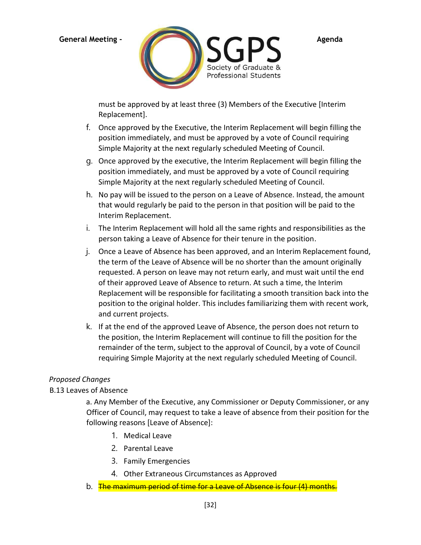

must be approved by at least three (3) Members of the Executive [Interim Replacement].

- f. Once approved by the Executive, the Interim Replacement will begin filling the position immediately, and must be approved by a vote of Council requiring Simple Majority at the next regularly scheduled Meeting of Council.
- g. Once approved by the executive, the Interim Replacement will begin filling the position immediately, and must be approved by a vote of Council requiring Simple Majority at the next regularly scheduled Meeting of Council.
- h. No pay will be issued to the person on a Leave of Absence. Instead, the amount that would regularly be paid to the person in that position will be paid to the Interim Replacement.
- i. The Interim Replacement will hold all the same rights and responsibilities as the person taking a Leave of Absence for their tenure in the position.
- j. Once a Leave of Absence has been approved, and an Interim Replacement found, the term of the Leave of Absence will be no shorter than the amount originally requested. A person on leave may not return early, and must wait until the end of their approved Leave of Absence to return. At such a time, the Interim Replacement will be responsible for facilitating a smooth transition back into the position to the original holder. This includes familiarizing them with recent work, and current projects.
- k. If at the end of the approved Leave of Absence, the person does not return to the position, the Interim Replacement will continue to fill the position for the remainder of the term, subject to the approval of Council, by a vote of Council requiring Simple Majority at the next regularly scheduled Meeting of Council.

# *Proposed Changes*

# B.13 Leaves of Absence

a. Any Member of the Executive, any Commissioner or Deputy Commissioner, or any Officer of Council, may request to take a leave of absence from their position for the following reasons [Leave of Absence]:

- 1. Medical Leave
- 2. Parental Leave
- 3. Family Emergencies
- 4. Other Extraneous Circumstances as Approved
- b. The maximum period of time for a Leave of Absence is four (4) month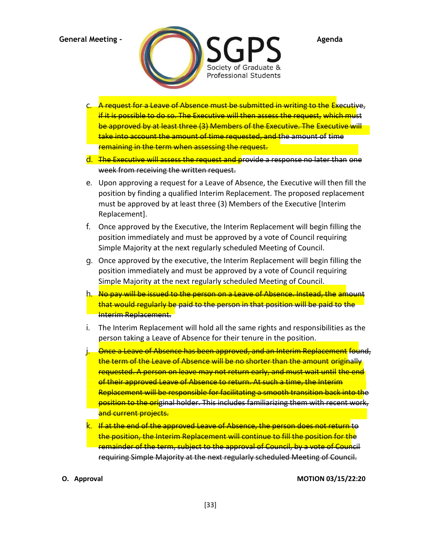

- c. A request for a Leave of Absence must be submitted in writing to the Executive, if it is possible to do so. The Executive will then assess the request, which must be approved by at least three (3) Members of the Executive. The Executive will take into account the amount of time requested, and the amount of time remaining in the term when assessing the request.
- d. The Executive will assess the request and provide a response no later than one week from receiving the written request.
- e. Upon approving a request for a Leave of Absence, the Executive will then fill the position by finding a qualified Interim Replacement. The proposed replacement must be approved by at least three (3) Members of the Executive [Interim Replacement].
- f. Once approved by the Executive, the Interim Replacement will begin filling the position immediately and must be approved by a vote of Council requiring Simple Majority at the next regularly scheduled Meeting of Council.
- g. Once approved by the executive, the Interim Replacement will begin filling the position immediately and must be approved by a vote of Council requiring Simple Majority at the next regularly scheduled Meeting of Council.
- h. No pay will be issued to the person on a Leave of Absence. Instead, the amount that would regularly be paid to the person in that position will be paid to the Interim Replacement.
- i. The Interim Replacement will hold all the same rights and responsibilities as the person taking a Leave of Absence for their tenure in the position.
- j. Once a Leave of Absence has been approved, and an Interim Replacement found, the term of the Leave of Absence will be no shorter than the amount originally requested. A person on leave may not return early, and must wait until the end of their approved Leave of Absence to return. At such a time, the Interim Replacement will be responsible for facilitating a smooth transition back into the position to the original holder. This includes familiarizing them with recent work, and current projects.
- k. If at the end of the approved Leave of Absence, the person does not return to the position, the Interim Replacement will continue to fill the position for the remainder of the term, subject to the approval of Council, by a vote of Council requiring Simple Majority at the next regularly scheduled Meeting of Council.

**O. Approval MOTION 03/15/22:20**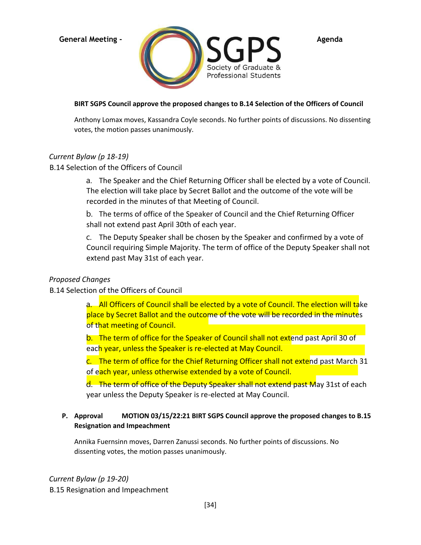

### **BIRT SGPS Council approve the proposed changes to B.14 Selection of the Officers of Council**

Anthony Lomax moves, Kassandra Coyle seconds. No further points of discussions. No dissenting votes, the motion passes unanimously.

### *Current Bylaw (p 18-19)*

### B.14 Selection of the Officers of Council

a. The Speaker and the Chief Returning Officer shall be elected by a vote of Council. The election will take place by Secret Ballot and the outcome of the vote will be recorded in the minutes of that Meeting of Council.

b. The terms of office of the Speaker of Council and the Chief Returning Officer shall not extend past April 30th of each year.

c. The Deputy Speaker shall be chosen by the Speaker and confirmed by a vote of Council requiring Simple Majority. The term of office of the Deputy Speaker shall not extend past May 31st of each year.

### *Proposed Changes*

# B.14 Selection of the Officers of Council

a. All Officers of Council shall be elected by a vote of Council. The election will take place by Secret Ballot and the outcome of the vote will be recorded in the minutes of that meeting of Council.

b. The term of office for the Speaker of Council shall not extend past April 30 of each year, unless the Speaker is re-elected at May Council.

c. The term of office for the Chief Returning Officer shall not extend past March 31 of each year, unless otherwise extended by a vote of Council.

d. The term of office of the Deputy Speaker shall not extend past May 31st of each year unless the Deputy Speaker is re-elected at May Council.

# **P. Approval MOTION 03/15/22:21 BIRT SGPS Council approve the proposed changes to B.15 Resignation and Impeachment**

Annika Fuernsinn moves, Darren Zanussi seconds. No further points of discussions. No dissenting votes, the motion passes unanimously.

# *Current Bylaw (p 19-20)*

B.15 Resignation and Impeachment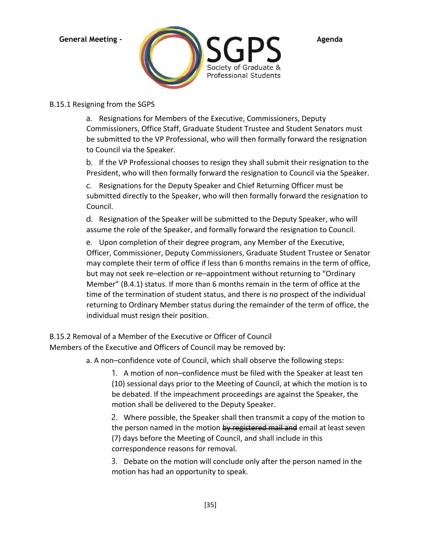

# B.15.1 Resigning from the SGPS

a. Resignations for Members of the Executive, Commissioners, Deputy Commissioners, Office Staff, Graduate Student Trustee and Student Senators must be submitted to the VP Professional, who will then formally forward the resignation to Council via the Speaker.

b. If the VP Professional chooses to resign they shall submit their resignation to the President, who will then formally forward the resignation to Council via the Speaker.

c. Resignations for the Deputy Speaker and Chief Returning Officer must be submitted directly to the Speaker, who will then formally forward the resignation to Council.

d. Resignation of the Speaker will be submitted to the Deputy Speaker, who will assume the role of the Speaker, and formally forward the resignation to Council.

e. Upon completion of their degree program, any Member of the Executive, Officer, Commissioner, Deputy Commissioners, Graduate Student Trustee or Senator may complete their term of office if less than 6 months remains in the term of office, but may not seek re–election or re–appointment without returning to "Ordinary Member" (B.4.1) status. If more than 6 months remain in the term of office at the time of the termination of student status, and there is no prospect of the individual returning to Ordinary Member status during the remainder of the term of office, the individual must resign their position.

B.15.2 Removal of a Member of the Executive or Officer of Council Members of the Executive and Officers of Council may be removed by:

a. A non–confidence vote of Council, which shall observe the following steps:

1. A motion of non–confidence must be filed with the Speaker at least ten (10) sessional days prior to the Meeting of Council, at which the motion is to be debated. If the impeachment proceedings are against the Speaker, the motion shall be delivered to the Deputy Speaker.

2. Where possible, the Speaker shall then transmit a copy of the motion to the person named in the motion by registered mail and email at least seven (7) days before the Meeting of Council, and shall include in this correspondence reasons for removal.

3. Debate on the motion will conclude only after the person named in the motion has had an opportunity to speak.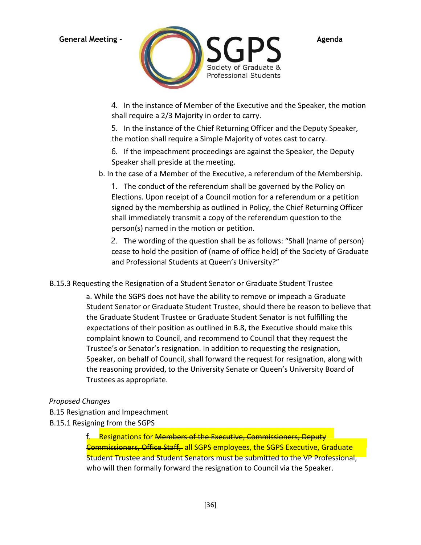

4. In the instance of Member of the Executive and the Speaker, the motion shall require a 2/3 Majority in order to carry.

5. In the instance of the Chief Returning Officer and the Deputy Speaker, the motion shall require a Simple Majority of votes cast to carry.

6. If the impeachment proceedings are against the Speaker, the Deputy Speaker shall preside at the meeting.

b. In the case of a Member of the Executive, a referendum of the Membership.

1. The conduct of the referendum shall be governed by the Policy on Elections. Upon receipt of a Council motion for a referendum or a petition signed by the membership as outlined in Policy, the Chief Returning Officer shall immediately transmit a copy of the referendum question to the person(s) named in the motion or petition.

2. The wording of the question shall be as follows: "Shall (name of person) cease to hold the position of (name of office held) of the Society of Graduate and Professional Students at Queen's University?"

B.15.3 Requesting the Resignation of a Student Senator or Graduate Student Trustee

a. While the SGPS does not have the ability to remove or impeach a Graduate Student Senator or Graduate Student Trustee, should there be reason to believe that the Graduate Student Trustee or Graduate Student Senator is not fulfilling the expectations of their position as outlined in B.8, the Executive should make this complaint known to Council, and recommend to Council that they request the Trustee's or Senator's resignation. In addition to requesting the resignation, Speaker, on behalf of Council, shall forward the request for resignation, along with the reasoning provided, to the University Senate or Queen's University Board of Trustees as appropriate.

# *Proposed Changes*

- B.15 Resignation and Impeachment
- B.15.1 Resigning from the SGPS

f. Resignations for Members of the Executive, Commissioners, Deputy Commissioners, Office Staff, all SGPS employees, the SGPS Executive, Graduate Student Trustee and Student Senators must be submitted to the VP Professional, who will then formally forward the resignation to Council via the Speaker.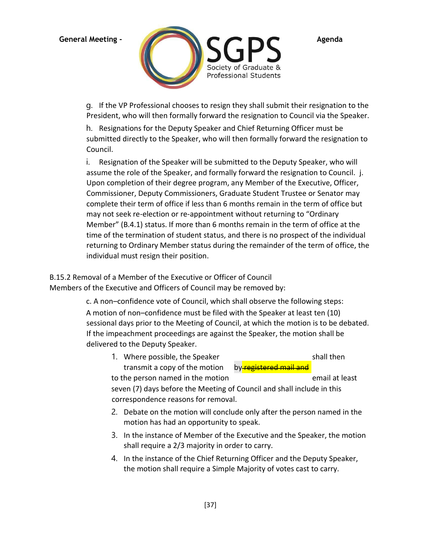

g. If the VP Professional chooses to resign they shall submit their resignation to the President, who will then formally forward the resignation to Council via the Speaker.

h. Resignations for the Deputy Speaker and Chief Returning Officer must be submitted directly to the Speaker, who will then formally forward the resignation to Council.

i. Resignation of the Speaker will be submitted to the Deputy Speaker, who will assume the role of the Speaker, and formally forward the resignation to Council. j. Upon completion of their degree program, any Member of the Executive, Officer, Commissioner, Deputy Commissioners, Graduate Student Trustee or Senator may complete their term of office if less than 6 months remain in the term of office but may not seek re-election or re-appointment without returning to "Ordinary Member" (B.4.1) status. If more than 6 months remain in the term of office at the time of the termination of student status, and there is no prospect of the individual returning to Ordinary Member status during the remainder of the term of office, the individual must resign their position.

B.15.2 Removal of a Member of the Executive or Officer of Council Members of the Executive and Officers of Council may be removed by:

> c. A non–confidence vote of Council, which shall observe the following steps: A motion of non–confidence must be filed with the Speaker at least ten (10) sessional days prior to the Meeting of Council, at which the motion is to be debated. If the impeachment proceedings are against the Speaker, the motion shall be delivered to the Deputy Speaker.

| 1. Where possible, the Speaker                                         | shall then     |  |  |  |
|------------------------------------------------------------------------|----------------|--|--|--|
| transmit a copy of the motion<br>by-registered mail and                |                |  |  |  |
| to the person named in the motion                                      | email at least |  |  |  |
| seven (7) days before the Meeting of Council and shall include in this |                |  |  |  |
| correspondence reasons for removal.                                    |                |  |  |  |
|                                                                        |                |  |  |  |

- 2. Debate on the motion will conclude only after the person named in the motion has had an opportunity to speak.
- 3. In the instance of Member of the Executive and the Speaker, the motion shall require a 2/3 majority in order to carry.
- 4. In the instance of the Chief Returning Officer and the Deputy Speaker, the motion shall require a Simple Majority of votes cast to carry.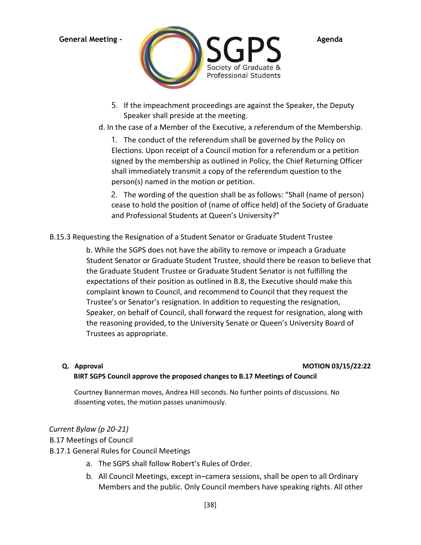

- 5. If the impeachment proceedings are against the Speaker, the Deputy Speaker shall preside at the meeting.
- d. In the case of a Member of the Executive, a referendum of the Membership.

1. The conduct of the referendum shall be governed by the Policy on Elections. Upon receipt of a Council motion for a referendum or a petition signed by the membership as outlined in Policy, the Chief Returning Officer shall immediately transmit a copy of the referendum question to the person(s) named in the motion or petition.

2. The wording of the question shall be as follows: "Shall (name of person) cease to hold the position of (name of office held) of the Society of Graduate and Professional Students at Queen's University?"

B.15.3 Requesting the Resignation of a Student Senator or Graduate Student Trustee

b. While the SGPS does not have the ability to remove or impeach a Graduate Student Senator or Graduate Student Trustee, should there be reason to believe that the Graduate Student Trustee or Graduate Student Senator is not fulfilling the expectations of their position as outlined in B.8, the Executive should make this complaint known to Council, and recommend to Council that they request the Trustee's or Senator's resignation. In addition to requesting the resignation, Speaker, on behalf of Council, shall forward the request for resignation, along with the reasoning provided, to the University Senate or Queen's University Board of Trustees as appropriate.

### **Q. Approval MOTION 03/15/22:22**

# **BIRT SGPS Council approve the proposed changes to B.17 Meetings of Council**

Courtney Bannerman moves, Andrea Hill seconds. No further points of discussions. No dissenting votes, the motion passes unanimously.

# *Current Bylaw (p 20-21)*

# B.17 Meetings of Council

- B.17.1 General Rules for Council Meetings
	- a. The SGPS shall follow Robert's Rules of Order.
	- b. All Council Meetings, except in–camera sessions, shall be open to all Ordinary Members and the public. Only Council members have speaking rights. All other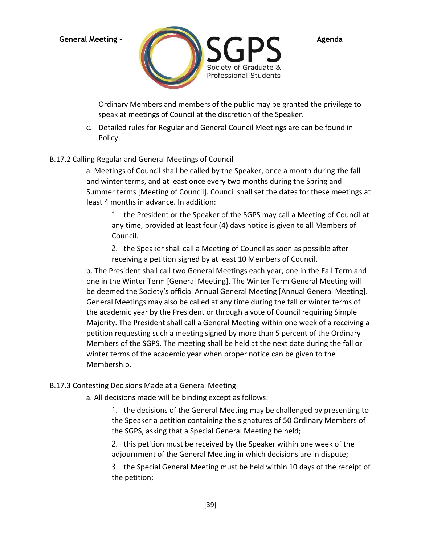

Ordinary Members and members of the public may be granted the privilege to speak at meetings of Council at the discretion of the Speaker.

c. Detailed rules for Regular and General Council Meetings are can be found in Policy.

# B.17.2 Calling Regular and General Meetings of Council

a. Meetings of Council shall be called by the Speaker, once a month during the fall and winter terms, and at least once every two months during the Spring and Summer terms [Meeting of Council]. Council shall set the dates for these meetings at least 4 months in advance. In addition:

1. the President or the Speaker of the SGPS may call a Meeting of Council at any time, provided at least four (4) days notice is given to all Members of Council.

2. the Speaker shall call a Meeting of Council as soon as possible after receiving a petition signed by at least 10 Members of Council.

b. The President shall call two General Meetings each year, one in the Fall Term and one in the Winter Term [General Meeting]. The Winter Term General Meeting will be deemed the Society's official Annual General Meeting [Annual General Meeting]. General Meetings may also be called at any time during the fall or winter terms of the academic year by the President or through a vote of Council requiring Simple Majority. The President shall call a General Meeting within one week of a receiving a petition requesting such a meeting signed by more than 5 percent of the Ordinary Members of the SGPS. The meeting shall be held at the next date during the fall or winter terms of the academic year when proper notice can be given to the Membership.

### B.17.3 Contesting Decisions Made at a General Meeting

a. All decisions made will be binding except as follows:

1. the decisions of the General Meeting may be challenged by presenting to the Speaker a petition containing the signatures of 50 Ordinary Members of the SGPS, asking that a Special General Meeting be held;

2. this petition must be received by the Speaker within one week of the adjournment of the General Meeting in which decisions are in dispute;

3. the Special General Meeting must be held within 10 days of the receipt of the petition;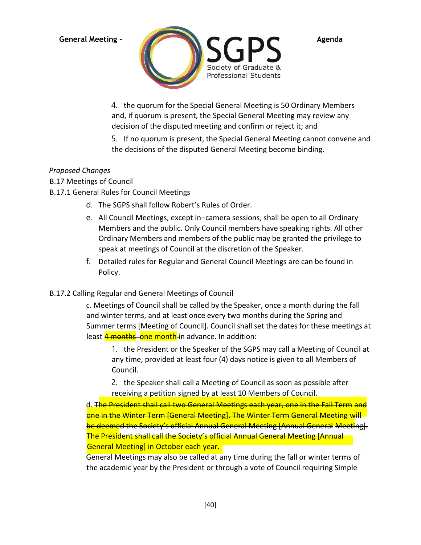

4. the quorum for the Special General Meeting is 50 Ordinary Members and, if quorum is present, the Special General Meeting may review any decision of the disputed meeting and confirm or reject it; and

5. If no quorum is present, the Special General Meeting cannot convene and the decisions of the disputed General Meeting become binding.

# *Proposed Changes*

B.17 Meetings of Council

# B.17.1 General Rules for Council Meetings

- d. The SGPS shall follow Robert's Rules of Order.
- e. All Council Meetings, except in–camera sessions, shall be open to all Ordinary Members and the public. Only Council members have speaking rights. All other Ordinary Members and members of the public may be granted the privilege to speak at meetings of Council at the discretion of the Speaker.
- f. Detailed rules for Regular and General Council Meetings are can be found in Policy.

# B.17.2 Calling Regular and General Meetings of Council

c. Meetings of Council shall be called by the Speaker, once a month during the fall and winter terms, and at least once every two months during the Spring and Summer terms [Meeting of Council]. Council shall set the dates for these meetings at least **4 months** one month-in advance. In addition:

1. the President or the Speaker of the SGPS may call a Meeting of Council at any time, provided at least four (4) days notice is given to all Members of Council.

2. the Speaker shall call a Meeting of Council as soon as possible after receiving a petition signed by at least 10 Members of Council.

d. The President shall call two General Meetings each year, one in the Fall Term and one in the Winter Term [General Meeting]. The Winter Term General Meeting will be deemed the Society's official Annual General Meeting [Annual General Meeting]. The President shall call the Society's official Annual General Meeting [Annual General Meeting] in October each year.

General Meetings may also be called at any time during the fall or winter terms of the academic year by the President or through a vote of Council requiring Simple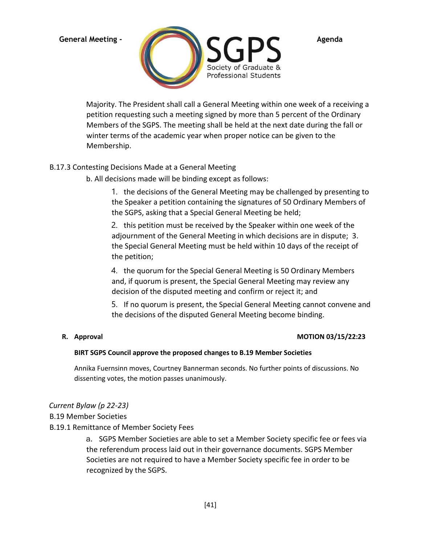

Majority. The President shall call a General Meeting within one week of a receiving a petition requesting such a meeting signed by more than 5 percent of the Ordinary Members of the SGPS. The meeting shall be held at the next date during the fall or winter terms of the academic year when proper notice can be given to the Membership.

# B.17.3 Contesting Decisions Made at a General Meeting

b. All decisions made will be binding except as follows:

1. the decisions of the General Meeting may be challenged by presenting to the Speaker a petition containing the signatures of 50 Ordinary Members of the SGPS, asking that a Special General Meeting be held;

2. this petition must be received by the Speaker within one week of the adjournment of the General Meeting in which decisions are in dispute; 3. the Special General Meeting must be held within 10 days of the receipt of the petition;

4. the quorum for the Special General Meeting is 50 Ordinary Members and, if quorum is present, the Special General Meeting may review any decision of the disputed meeting and confirm or reject it; and

5. If no quorum is present, the Special General Meeting cannot convene and the decisions of the disputed General Meeting become binding.

# **R. Approval MOTION 03/15/22:23**

### **BIRT SGPS Council approve the proposed changes to B.19 Member Societies**

Annika Fuernsinn moves, Courtney Bannerman seconds. No further points of discussions. No dissenting votes, the motion passes unanimously.

# *Current Bylaw (p 22-23)*

B.19 Member Societies

# B.19.1 Remittance of Member Society Fees

a. SGPS Member Societies are able to set a Member Society specific fee or fees via the referendum process laid out in their governance documents. SGPS Member Societies are not required to have a Member Society specific fee in order to be recognized by the SGPS.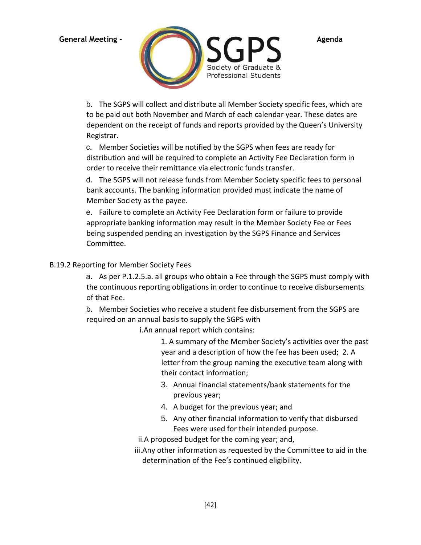

b. The SGPS will collect and distribute all Member Society specific fees, which are to be paid out both November and March of each calendar year. These dates are dependent on the receipt of funds and reports provided by the Queen's University Registrar.

c. Member Societies will be notified by the SGPS when fees are ready for distribution and will be required to complete an Activity Fee Declaration form in order to receive their remittance via electronic funds transfer.

d. The SGPS will not release funds from Member Society specific fees to personal bank accounts. The banking information provided must indicate the name of Member Society as the payee.

e. Failure to complete an Activity Fee Declaration form or failure to provide appropriate banking information may result in the Member Society Fee or Fees being suspended pending an investigation by the SGPS Finance and Services Committee.

# B.19.2 Reporting for Member Society Fees

a. As per P.1.2.5.a. all groups who obtain a Fee through the SGPS must comply with the continuous reporting obligations in order to continue to receive disbursements of that Fee.

b. Member Societies who receive a student fee disbursement from the SGPS are required on an annual basis to supply the SGPS with

i.An annual report which contains:

1. A summary of the Member Society's activities over the past year and a description of how the fee has been used; 2. A letter from the group naming the executive team along with their contact information;

- 3. Annual financial statements/bank statements for the previous year;
- 4. A budget for the previous year; and
- 5. Any other financial information to verify that disbursed Fees were used for their intended purpose.

ii.A proposed budget for the coming year; and,

iii.Any other information as requested by the Committee to aid in the determination of the Fee's continued eligibility.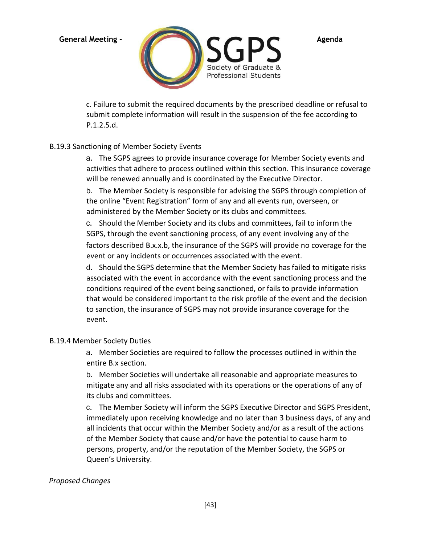

c. Failure to submit the required documents by the prescribed deadline or refusal to submit complete information will result in the suspension of the fee according to P.1.2.5.d.

# B.19.3 Sanctioning of Member Society Events

a. The SGPS agrees to provide insurance coverage for Member Society events and activities that adhere to process outlined within this section. This insurance coverage will be renewed annually and is coordinated by the Executive Director.

b. The Member Society is responsible for advising the SGPS through completion of the online "Event Registration" form of any and all events run, overseen, or administered by the Member Society or its clubs and committees.

c. Should the Member Society and its clubs and committees, fail to inform the SGPS, through the event sanctioning process, of any event involving any of the factors described B.x.x.b, the insurance of the SGPS will provide no coverage for the event or any incidents or occurrences associated with the event.

d. Should the SGPS determine that the Member Society has failed to mitigate risks associated with the event in accordance with the event sanctioning process and the conditions required of the event being sanctioned, or fails to provide information that would be considered important to the risk profile of the event and the decision to sanction, the insurance of SGPS may not provide insurance coverage for the event.

# B.19.4 Member Society Duties

a. Member Societies are required to follow the processes outlined in within the entire B.x section.

b. Member Societies will undertake all reasonable and appropriate measures to mitigate any and all risks associated with its operations or the operations of any of its clubs and committees.

c. The Member Society will inform the SGPS Executive Director and SGPS President, immediately upon receiving knowledge and no later than 3 business days, of any and all incidents that occur within the Member Society and/or as a result of the actions of the Member Society that cause and/or have the potential to cause harm to persons, property, and/or the reputation of the Member Society, the SGPS or Queen's University.

# *Proposed Changes*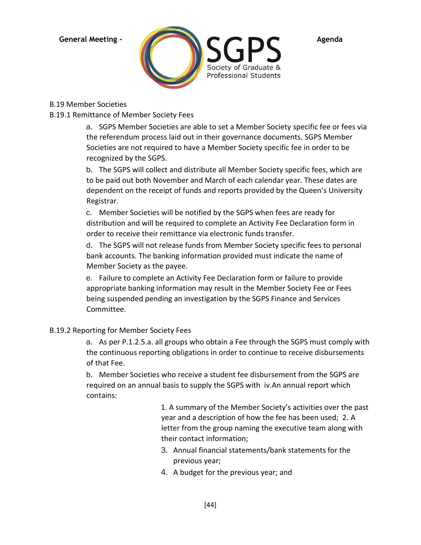

# B.19 Member Societies

B.19.1 Remittance of Member Society Fees

a. SGPS Member Societies are able to set a Member Society specific fee or fees via the referendum process laid out in their governance documents. SGPS Member Societies are not required to have a Member Society specific fee in order to be recognized by the SGPS.

b. The SGPS will collect and distribute all Member Society specific fees, which are to be paid out both November and March of each calendar year. These dates are dependent on the receipt of funds and reports provided by the Queen's University Registrar.

c. Member Societies will be notified by the SGPS when fees are ready for distribution and will be required to complete an Activity Fee Declaration form in order to receive their remittance via electronic funds transfer.

d. The SGPS will not release funds from Member Society specific fees to personal bank accounts. The banking information provided must indicate the name of Member Society as the payee.

e. Failure to complete an Activity Fee Declaration form or failure to provide appropriate banking information may result in the Member Society Fee or Fees being suspended pending an investigation by the SGPS Finance and Services Committee.

# B.19.2 Reporting for Member Society Fees

a. As per P.1.2.5.a. all groups who obtain a Fee through the SGPS must comply with the continuous reporting obligations in order to continue to receive disbursements of that Fee.

b. Member Societies who receive a student fee disbursement from the SGPS are required on an annual basis to supply the SGPS with iv.An annual report which contains:

> 1. A summary of the Member Society's activities over the past year and a description of how the fee has been used; 2. A letter from the group naming the executive team along with their contact information;

- 3. Annual financial statements/bank statements for the previous year;
- 4. A budget for the previous year; and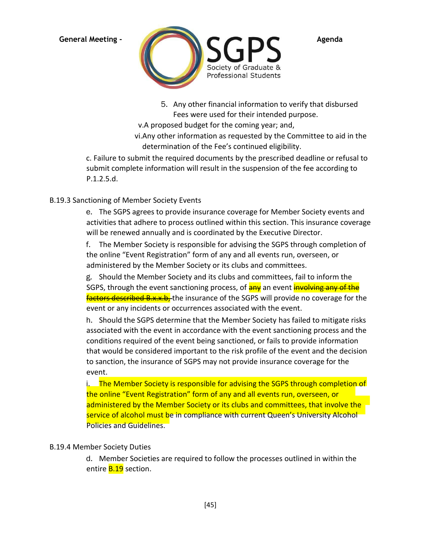

5. Any other financial information to verify that disbursed Fees were used for their intended purpose.

v.A proposed budget for the coming year; and,

vi.Any other information as requested by the Committee to aid in the determination of the Fee's continued eligibility.

c. Failure to submit the required documents by the prescribed deadline or refusal to submit complete information will result in the suspension of the fee according to P.1.2.5.d.

# B.19.3 Sanctioning of Member Society Events

e. The SGPS agrees to provide insurance coverage for Member Society events and activities that adhere to process outlined within this section. This insurance coverage will be renewed annually and is coordinated by the Executive Director.

f. The Member Society is responsible for advising the SGPS through completion of the online "Event Registration" form of any and all events run, overseen, or administered by the Member Society or its clubs and committees.

g. Should the Member Society and its clubs and committees, fail to inform the SGPS, through the event sanctioning process, of **any** an event **involving any of the** factors described B.x.x.b, the insurance of the SGPS will provide no coverage for the event or any incidents or occurrences associated with the event.

h. Should the SGPS determine that the Member Society has failed to mitigate risks associated with the event in accordance with the event sanctioning process and the conditions required of the event being sanctioned, or fails to provide information that would be considered important to the risk profile of the event and the decision to sanction, the insurance of SGPS may not provide insurance coverage for the event.

i. The Member Society is responsible for advising the SGPS through completion of the online "Event Registration" form of any and all events run, overseen, or administered by the Member Society or its clubs and committees, that involve the service of alcohol must be in compliance with current Queen's University Alcohol Policies and Guidelines.

# B.19.4 Member Society Duties

d. Member Societies are required to follow the processes outlined in within the entire **B.19** section.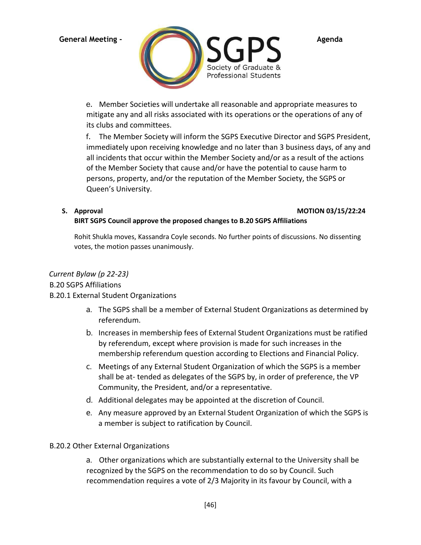

e. Member Societies will undertake all reasonable and appropriate measures to

mitigate any and all risks associated with its operations or the operations of any of its clubs and committees.

f. The Member Society will inform the SGPS Executive Director and SGPS President, immediately upon receiving knowledge and no later than 3 business days, of any and all incidents that occur within the Member Society and/or as a result of the actions of the Member Society that cause and/or have the potential to cause harm to persons, property, and/or the reputation of the Member Society, the SGPS or Queen's University.

# **S. Approval MOTION 03/15/22:24**

# **BIRT SGPS Council approve the proposed changes to B.20 SGPS Affiliations**

Rohit Shukla moves, Kassandra Coyle seconds. No further points of discussions. No dissenting votes, the motion passes unanimously.

# *Current Bylaw (p 22-23)*

# B.20 SGPS Affiliations

# B.20.1 External Student Organizations

- a. The SGPS shall be a member of External Student Organizations as determined by referendum.
- b. Increases in membership fees of External Student Organizations must be ratified by referendum, except where provision is made for such increases in the membership referendum question according to Elections and Financial Policy.
- c. Meetings of any External Student Organization of which the SGPS is a member shall be at- tended as delegates of the SGPS by, in order of preference, the VP Community, the President, and/or a representative.
- d. Additional delegates may be appointed at the discretion of Council.
- e. Any measure approved by an External Student Organization of which the SGPS is a member is subject to ratification by Council.

# B.20.2 Other External Organizations

a. Other organizations which are substantially external to the University shall be recognized by the SGPS on the recommendation to do so by Council. Such recommendation requires a vote of 2/3 Majority in its favour by Council, with a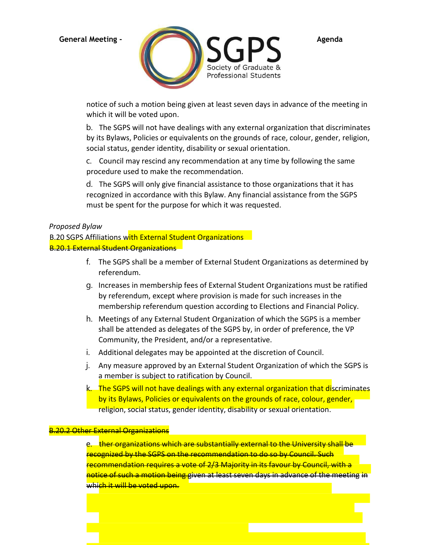

notice of such a motion being given at least seven days in advance of the meeting in which it will be voted upon.

b. The SGPS will not have dealings with any external organization that discriminates by its Bylaws, Policies or equivalents on the grounds of race, colour, gender, religion, social status, gender identity, disability or sexual orientation.

c. Council may rescind any recommendation at any time by following the same procedure used to make the recommendation.

d. The SGPS will only give financial assistance to those organizations that it has recognized in accordance with this Bylaw. Any financial assistance from the SGPS must be spent for the purpose for which it was requested.

# *Proposed Bylaw*

B.20 SGPS Affiliations with External Student Organizations B.20.1 External Student Organizations

- f. The SGPS shall be a member of External Student Organizations as determined by referendum.
- g. Increases in membership fees of External Student Organizations must be ratified by referendum, except where provision is made for such increases in the membership referendum question according to Elections and Financial Policy.
- h. Meetings of any External Student Organization of which the SGPS is a member shall be attended as delegates of the SGPS by, in order of preference, the VP Community, the President, and/or a representative.
- i. Additional delegates may be appointed at the discretion of Council.
- j. Any measure approved by an External Student Organization of which the SGPS is a member is subject to ratification by Council.
- k. The SGPS will not have dealings with any external organization that discriminates by its Bylaws, Policies or equivalents on the grounds of race, colour, gender, religion, social status, gender identity, disability or sexual orientation.

### <mark>.20.2 Other External Organizations</mark>

e. ther organizations which are substantially external to the University shall be recognized by the SGPS on the recommendation to do so by Council. Such recommendation requires a vote of 2/3 Majority in its favour by Council, with a notice of such a motion being given at least seven days in advance of the meeting in which it will be voted upon.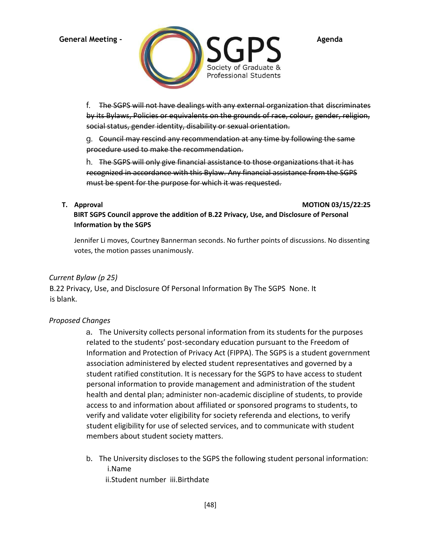

f. The SGPS will not have dealings with any external organization that discriminates by its Bylaws, Policies or equivalents on the grounds of race, colour, gender, religion, social status, gender identity, disability or sexual orientation.

g. Council may rescind any recommendation at any time by following the same procedure used to make the recommendation.

h. The SGPS will only give financial assistance to those organizations that it has recognized in accordance with this Bylaw. Any financial assistance from the SGPS must be spent for the purpose for which it was requested.

**T. Approval MOTION 03/15/22:25** 

**BIRT SGPS Council approve the addition of B.22 Privacy, Use, and Disclosure of Personal Information by the SGPS** 

Jennifer Li moves, Courtney Bannerman seconds. No further points of discussions. No dissenting votes, the motion passes unanimously.

# *Current Bylaw (p 25)*

B.22 Privacy, Use, and Disclosure Of Personal Information By The SGPS None. It is blank.

# *Proposed Changes*

a. The University collects personal information from its students for the purposes related to the students' post-secondary education pursuant to the Freedom of Information and Protection of Privacy Act (FIPPA). The SGPS is a student government association administered by elected student representatives and governed by a student ratified constitution. It is necessary for the SGPS to have access to student personal information to provide management and administration of the student health and dental plan; administer non-academic discipline of students, to provide access to and information about affiliated or sponsored programs to students, to verify and validate voter eligibility for society referenda and elections, to verify student eligibility for use of selected services, and to communicate with student members about student society matters.

b. The University discloses to the SGPS the following student personal information: i.Name

ii.Student number iii.Birthdate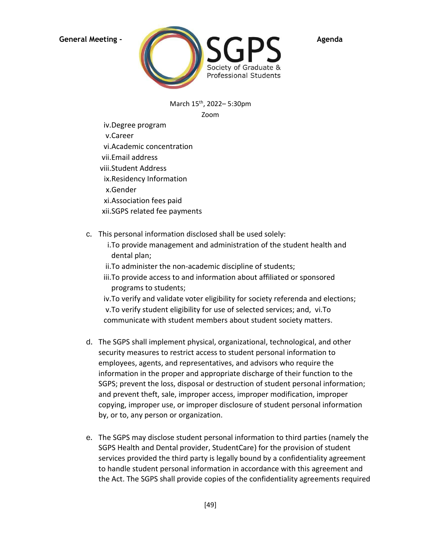

March 15th, 2022– 5:30pm Zoom

- iv.Degree program
- v.Career
- vi.Academic concentration
- vii.Email address
- viii.Student Address
- ix.Residency Information
- x.Gender
- xi.Association fees paid
- xii.SGPS related fee payments
- c. This personal information disclosed shall be used solely:
	- i.To provide management and administration of the student health and dental plan;
	- ii.To administer the non-academic discipline of students;
	- iii.To provide access to and information about affiliated or sponsored programs to students;

iv.To verify and validate voter eligibility for society referenda and elections; v.To verify student eligibility for use of selected services; and, vi.To communicate with student members about student society matters.

- d. The SGPS shall implement physical, organizational, technological, and other security measures to restrict access to student personal information to employees, agents, and representatives, and advisors who require the information in the proper and appropriate discharge of their function to the SGPS; prevent the loss, disposal or destruction of student personal information; and prevent theft, sale, improper access, improper modification, improper copying, improper use, or improper disclosure of student personal information by, or to, any person or organization.
- e. The SGPS may disclose student personal information to third parties (namely the SGPS Health and Dental provider, StudentCare) for the provision of student services provided the third party is legally bound by a confidentiality agreement to handle student personal information in accordance with this agreement and the Act. The SGPS shall provide copies of the confidentiality agreements required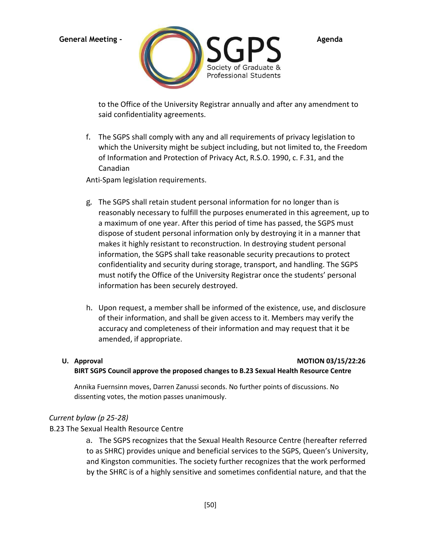

to the Office of the University Registrar annually and after any amendment to said confidentiality agreements.

f. The SGPS shall comply with any and all requirements of privacy legislation to which the University might be subject including, but not limited to, the Freedom of Information and Protection of Privacy Act, R.S.O. 1990, c. F.31, and the Canadian

Anti-Spam legislation requirements.

- g. The SGPS shall retain student personal information for no longer than is reasonably necessary to fulfill the purposes enumerated in this agreement, up to a maximum of one year. After this period of time has passed, the SGPS must dispose of student personal information only by destroying it in a manner that makes it highly resistant to reconstruction. In destroying student personal information, the SGPS shall take reasonable security precautions to protect confidentiality and security during storage, transport, and handling. The SGPS must notify the Office of the University Registrar once the students' personal information has been securely destroyed.
- h. Upon request, a member shall be informed of the existence, use, and disclosure of their information, and shall be given access to it. Members may verify the accuracy and completeness of their information and may request that it be amended, if appropriate.

### **U. Approval MOTION 03/15/22:26**

### **BIRT SGPS Council approve the proposed changes to B.23 Sexual Health Resource Centre**

Annika Fuernsinn moves, Darren Zanussi seconds. No further points of discussions. No dissenting votes, the motion passes unanimously.

# *Current bylaw (p 25-28)*

### B.23 The Sexual Health Resource Centre

a. The SGPS recognizes that the Sexual Health Resource Centre (hereafter referred to as SHRC) provides unique and beneficial services to the SGPS, Queen's University, and Kingston communities. The society further recognizes that the work performed by the SHRC is of a highly sensitive and sometimes confidential nature, and that the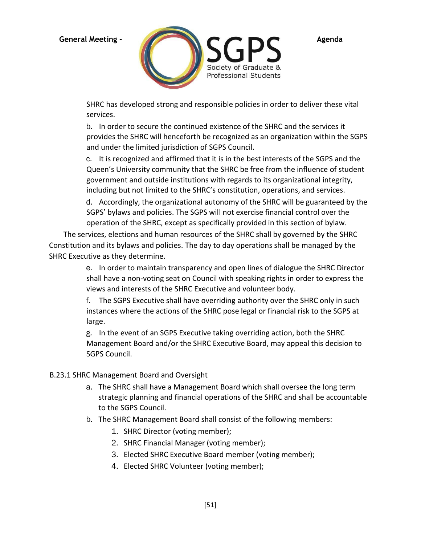

SHRC has developed strong and responsible policies in order to deliver these vital services.

b. In order to secure the continued existence of the SHRC and the services it provides the SHRC will henceforth be recognized as an organization within the SGPS and under the limited jurisdiction of SGPS Council.

c. It is recognized and affirmed that it is in the best interests of the SGPS and the Queen's University community that the SHRC be free from the influence of student government and outside institutions with regards to its organizational integrity, including but not limited to the SHRC's constitution, operations, and services.

d. Accordingly, the organizational autonomy of the SHRC will be guaranteed by the SGPS' bylaws and policies. The SGPS will not exercise financial control over the operation of the SHRC, except as specifically provided in this section of bylaw.

The services, elections and human resources of the SHRC shall by governed by the SHRC Constitution and its bylaws and policies. The day to day operations shall be managed by the SHRC Executive as they determine.

> e. In order to maintain transparency and open lines of dialogue the SHRC Director shall have a non-voting seat on Council with speaking rights in order to express the views and interests of the SHRC Executive and volunteer body.

f. The SGPS Executive shall have overriding authority over the SHRC only in such instances where the actions of the SHRC pose legal or financial risk to the SGPS at large.

g. In the event of an SGPS Executive taking overriding action, both the SHRC Management Board and/or the SHRC Executive Board, may appeal this decision to SGPS Council.

# B.23.1 SHRC Management Board and Oversight

- a. The SHRC shall have a Management Board which shall oversee the long term strategic planning and financial operations of the SHRC and shall be accountable to the SGPS Council.
- b. The SHRC Management Board shall consist of the following members:
	- 1. SHRC Director (voting member);
	- 2. SHRC Financial Manager (voting member);
	- 3. Elected SHRC Executive Board member (voting member);
	- 4. Elected SHRC Volunteer (voting member);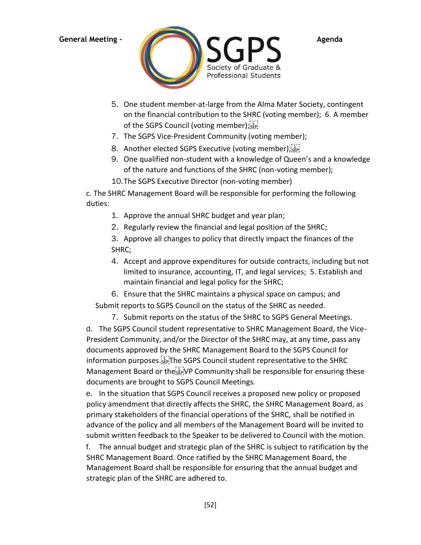

- 5. One student member-at-large from the Alma Mater Society, contingent on the financial contribution to the SHRC (voting member); 6. A member of the SGPS Council (voting member);
- 7. The SGPS Vice-President Community (voting member);
- 8. Another elected SGPS Executive (voting member); see
- 9. One qualified non-student with a knowledge of Queen's and a knowledge of the nature and functions of the SHRC (non-voting member);
- 10.The SGPS Executive Director (non-voting member)

c. The SHRC Management Board will be responsible for performing the following duties:

- 1. Approve the annual SHRC budget and year plan;
- 2. Regularly review the financial and legal position of the SHRC;

3. Approve all changes to policy that directly impact the finances of the SHRC;

4. Accept and approve expenditures for outside contracts, including but not limited to insurance, accounting, IT, and legal services; 5. Establish and maintain financial and legal policy for the SHRC;

6. Ensure that the SHRC maintains a physical space on campus; and Submit reports to SGPS Council on the status of the SHRC as needed.

7. Submit reports on the status of the SHRC to SGPS General Meetings.

d. The SGPS Council student representative to SHRC Management Board, the Vice-President Community, and/or the Director of the SHRC may, at any time, pass any documents approved by the SHRC Management Board to the SGPS Council for information purposes.<sup>[17]</sup>The SGPS Council student representative to the SHRC Management Board or the <sup>17</sup><sub>ste</sub>. VP Community shall be responsible for ensuring these documents are brought to SGPS Council Meetings.

e. In the situation that SGPS Council receives a proposed new policy or proposed policy amendment that directly affects the SHRC, the SHRC Management Board, as primary stakeholders of the financial operations of the SHRC, shall be notified in advance of the policy and all members of the Management Board will be invited to submit written feedback to the Speaker to be delivered to Council with the motion.

f. The annual budget and strategic plan of the SHRC is subject to ratification by the SHRC Management Board. Once ratified by the SHRC Management Board, the Management Board shall be responsible for ensuring that the annual budget and strategic plan of the SHRC are adhered to.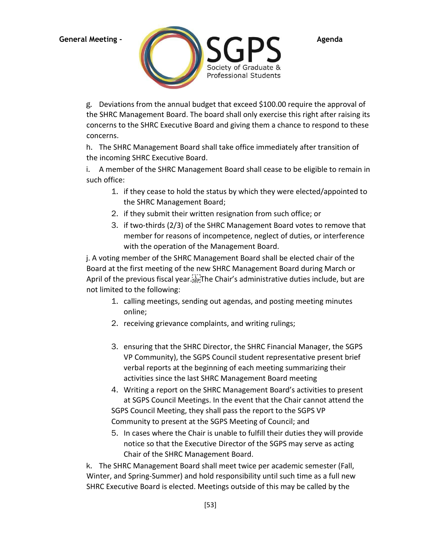

g. Deviations from the annual budget that exceed \$100.00 require the approval of the SHRC Management Board. The board shall only exercise this right after raising its concerns to the SHRC Executive Board and giving them a chance to respond to these concerns.

h. The SHRC Management Board shall take office immediately after transition of the incoming SHRC Executive Board.

i. A member of the SHRC Management Board shall cease to be eligible to remain in such office:

- 1. if they cease to hold the status by which they were elected/appointed to the SHRC Management Board;
- 2. if they submit their written resignation from such office; or
- 3. if two-thirds (2/3) of the SHRC Management Board votes to remove that member for reasons of incompetence, neglect of duties, or interference with the operation of the Management Board.

j. A voting member of the SHRC Management Board shall be elected chair of the Board at the first meeting of the new SHRC Management Board during March or April of the previous fiscal year. EPT he Chair's administrative duties include, but are not limited to the following:

- 1. calling meetings, sending out agendas, and posting meeting minutes online;
- 2. receiving grievance complaints, and writing rulings;
- 3. ensuring that the SHRC Director, the SHRC Financial Manager, the SGPS VP Community), the SGPS Council student representative present brief verbal reports at the beginning of each meeting summarizing their activities since the last SHRC Management Board meeting
- 4. Writing a report on the SHRC Management Board's activities to present at SGPS Council Meetings. In the event that the Chair cannot attend the SGPS Council Meeting, they shall pass the report to the SGPS VP Community to present at the SGPS Meeting of Council; and
- 5. In cases where the Chair is unable to fulfill their duties they will provide notice so that the Executive Director of the SGPS may serve as acting Chair of the SHRC Management Board.

k. The SHRC Management Board shall meet twice per academic semester (Fall, Winter, and Spring-Summer) and hold responsibility until such time as a full new SHRC Executive Board is elected. Meetings outside of this may be called by the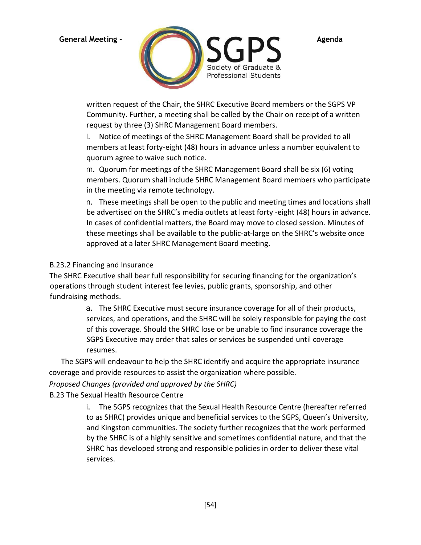

written request of the Chair, the SHRC Executive Board members or the SGPS VP Community. Further, a meeting shall be called by the Chair on receipt of a written request by three (3) SHRC Management Board members.

l. Notice of meetings of the SHRC Management Board shall be provided to all members at least forty-eight (48) hours in advance unless a number equivalent to quorum agree to waive such notice.

m. Quorum for meetings of the SHRC Management Board shall be six (6) voting members. Quorum shall include SHRC Management Board members who participate in the meeting via remote technology.

n. These meetings shall be open to the public and meeting times and locations shall be advertised on the SHRC's media outlets at least forty -eight (48) hours in advance. In cases of confidential matters, the Board may move to closed session. Minutes of these meetings shall be available to the public-at-large on the SHRC's website once approved at a later SHRC Management Board meeting.

# B.23.2 Financing and Insurance

The SHRC Executive shall bear full responsibility for securing financing for the organization's operations through student interest fee levies, public grants, sponsorship, and other fundraising methods.

> a. The SHRC Executive must secure insurance coverage for all of their products, services, and operations, and the SHRC will be solely responsible for paying the cost of this coverage. Should the SHRC lose or be unable to find insurance coverage the SGPS Executive may order that sales or services be suspended until coverage resumes.

The SGPS will endeavour to help the SHRC identify and acquire the appropriate insurance coverage and provide resources to assist the organization where possible.

# *Proposed Changes (provided and approved by the SHRC)*

B.23 The Sexual Health Resource Centre

i. The SGPS recognizes that the Sexual Health Resource Centre (hereafter referred to as SHRC) provides unique and beneficial services to the SGPS, Queen's University, and Kingston communities. The society further recognizes that the work performed by the SHRC is of a highly sensitive and sometimes confidential nature, and that the SHRC has developed strong and responsible policies in order to deliver these vital services.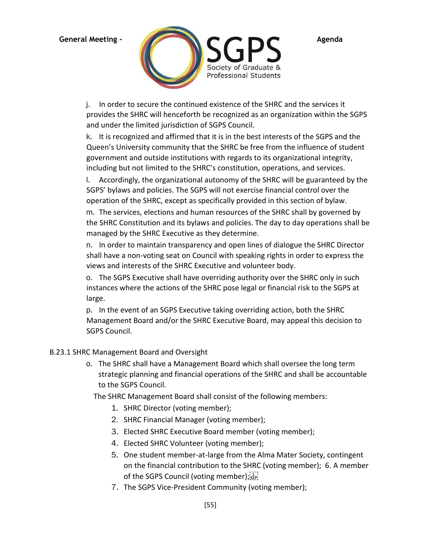

j. In order to secure the continued existence of the SHRC and the services it provides the SHRC will henceforth be recognized as an organization within the SGPS and under the limited jurisdiction of SGPS Council.

k. It is recognized and affirmed that it is in the best interests of the SGPS and the Queen's University community that the SHRC be free from the influence of student government and outside institutions with regards to its organizational integrity, including but not limited to the SHRC's constitution, operations, and services.

l. Accordingly, the organizational autonomy of the SHRC will be guaranteed by the SGPS' bylaws and policies. The SGPS will not exercise financial control over the operation of the SHRC, except as specifically provided in this section of bylaw.

m. The services, elections and human resources of the SHRC shall by governed by the SHRC Constitution and its bylaws and policies. The day to day operations shall be managed by the SHRC Executive as they determine.

n. In order to maintain transparency and open lines of dialogue the SHRC Director shall have a non-voting seat on Council with speaking rights in order to express the views and interests of the SHRC Executive and volunteer body.

o. The SGPS Executive shall have overriding authority over the SHRC only in such instances where the actions of the SHRC pose legal or financial risk to the SGPS at large.

p. In the event of an SGPS Executive taking overriding action, both the SHRC Management Board and/or the SHRC Executive Board, may appeal this decision to SGPS Council.

# B.23.1 SHRC Management Board and Oversight

o. The SHRC shall have a Management Board which shall oversee the long term strategic planning and financial operations of the SHRC and shall be accountable to the SGPS Council.

The SHRC Management Board shall consist of the following members:

- 1. SHRC Director (voting member);
- 2. SHRC Financial Manager (voting member);
- 3. Elected SHRC Executive Board member (voting member);
- 4. Elected SHRC Volunteer (voting member);
- 5. One student member-at-large from the Alma Mater Society, contingent on the financial contribution to the SHRC (voting member); 6. A member of the SGPS Council (voting member);
- 7. The SGPS Vice-President Community (voting member);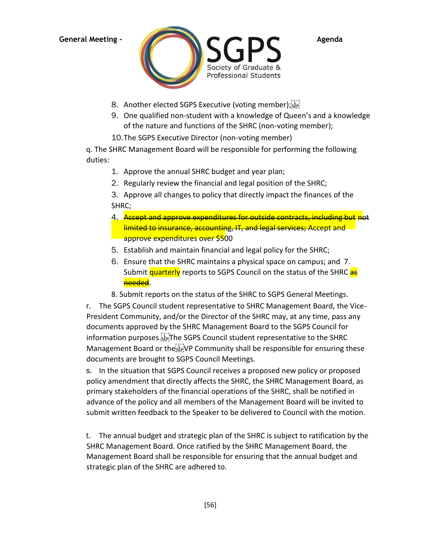

- 8. Another elected SGPS Executive (voting member); [11]
- 9. One qualified non-student with a knowledge of Queen's and a knowledge of the nature and functions of the SHRC (non-voting member);
- 10.The SGPS Executive Director (non-voting member)

q. The SHRC Management Board will be responsible for performing the following duties:

- 1. Approve the annual SHRC budget and year plan;
- 2. Regularly review the financial and legal position of the SHRC;
- 3. Approve all changes to policy that directly impact the finances of the SHRC;
- 4. Accept and approve expenditures for outside contracts, including but not limited to insurance, accounting, IT, and legal services; Accept and approve expenditures over \$500
- 5. Establish and maintain financial and legal policy for the SHRC;
- 6. Ensure that the SHRC maintains a physical space on campus; and 7. Submit quarterly reports to SGPS Council on the status of the SHRC as needed.
- 8. Submit reports on the status of the SHRC to SGPS General Meetings.

r. The SGPS Council student representative to SHRC Management Board, the Vice-President Community, and/or the Director of the SHRC may, at any time, pass any documents approved by the SHRC Management Board to the SGPS Council for information purposes. The SGPS Council student representative to the SHRC Management Board or the ER VP Community shall be responsible for ensuring these documents are brought to SGPS Council Meetings.

s. In the situation that SGPS Council receives a proposed new policy or proposed policy amendment that directly affects the SHRC, the SHRC Management Board, as primary stakeholders of the financial operations of the SHRC, shall be notified in advance of the policy and all members of the Management Board will be invited to submit written feedback to the Speaker to be delivered to Council with the motion.

t. The annual budget and strategic plan of the SHRC is subject to ratification by the SHRC Management Board. Once ratified by the SHRC Management Board, the Management Board shall be responsible for ensuring that the annual budget and strategic plan of the SHRC are adhered to.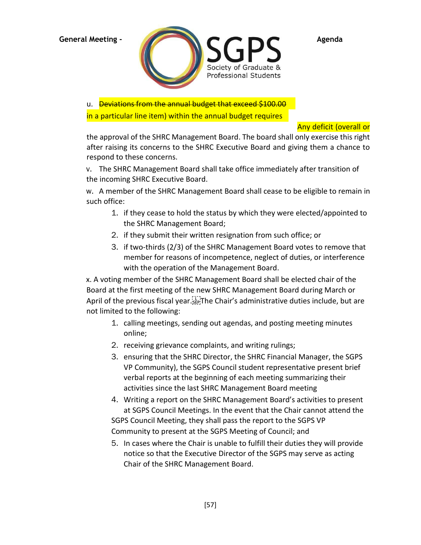

u. **Deviations from the annual budget that exceed \$100.00** 

in a particular line item) within the annual budget requires

Any deficit (overall or

the approval of the SHRC Management Board. The board shall only exercise this right after raising its concerns to the SHRC Executive Board and giving them a chance to respond to these concerns.

v. The SHRC Management Board shall take office immediately after transition of the incoming SHRC Executive Board.

w. A member of the SHRC Management Board shall cease to be eligible to remain in such office:

- 1. if they cease to hold the status by which they were elected/appointed to the SHRC Management Board;
- 2. if they submit their written resignation from such office; or
- 3. if two-thirds (2/3) of the SHRC Management Board votes to remove that member for reasons of incompetence, neglect of duties, or interference with the operation of the Management Board.

x. A voting member of the SHRC Management Board shall be elected chair of the Board at the first meeting of the new SHRC Management Board during March or April of the previous fiscal year. Find The Chair's administrative duties include, but are not limited to the following:

- 1. calling meetings, sending out agendas, and posting meeting minutes online;
- 2. receiving grievance complaints, and writing rulings;
- 3. ensuring that the SHRC Director, the SHRC Financial Manager, the SGPS VP Community), the SGPS Council student representative present brief verbal reports at the beginning of each meeting summarizing their activities since the last SHRC Management Board meeting
- 4. Writing a report on the SHRC Management Board's activities to present at SGPS Council Meetings. In the event that the Chair cannot attend the SGPS Council Meeting, they shall pass the report to the SGPS VP Community to present at the SGPS Meeting of Council; and
- 5. In cases where the Chair is unable to fulfill their duties they will provide notice so that the Executive Director of the SGPS may serve as acting Chair of the SHRC Management Board.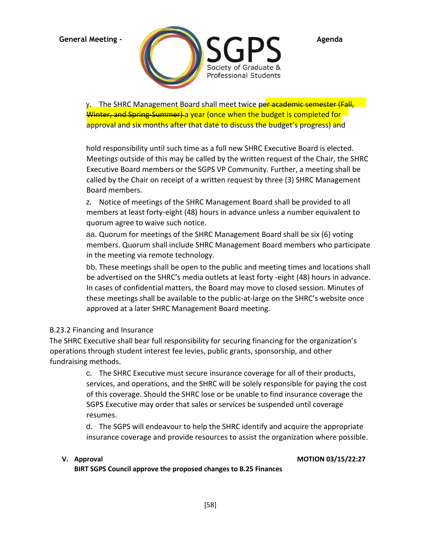

y. The SHRC Management Board shall meet twice per academic semester (Fall, Winter, and Spring-Summer) a year (once when the budget is completed for approval and six months after that date to discuss the budget's progress) and

hold responsibility until such time as a full new SHRC Executive Board is elected. Meetings outside of this may be called by the written request of the Chair, the SHRC Executive Board members or the SGPS VP Community. Further, a meeting shall be called by the Chair on receipt of a written request by three (3) SHRC Management Board members.

z. Notice of meetings of the SHRC Management Board shall be provided to all members at least forty-eight (48) hours in advance unless a number equivalent to quorum agree to waive such notice.

aa. Quorum for meetings of the SHRC Management Board shall be six (6) voting members. Quorum shall include SHRC Management Board members who participate in the meeting via remote technology.

bb. These meetings shall be open to the public and meeting times and locations shall be advertised on the SHRC's media outlets at least forty -eight (48) hours in advance. In cases of confidential matters, the Board may move to closed session. Minutes of these meetings shall be available to the public-at-large on the SHRC's website once approved at a later SHRC Management Board meeting.

# B.23.2 Financing and Insurance

The SHRC Executive shall bear full responsibility for securing financing for the organization's operations through student interest fee levies, public grants, sponsorship, and other fundraising methods.

> c. The SHRC Executive must secure insurance coverage for all of their products, services, and operations, and the SHRC will be solely responsible for paying the cost of this coverage. Should the SHRC lose or be unable to find insurance coverage the SGPS Executive may order that sales or services be suspended until coverage resumes.

> d. The SGPS will endeavour to help the SHRC identify and acquire the appropriate insurance coverage and provide resources to assist the organization where possible.

### **V. Approval MOTION 03/15/22:27**

**BIRT SGPS Council approve the proposed changes to B.25 Finances**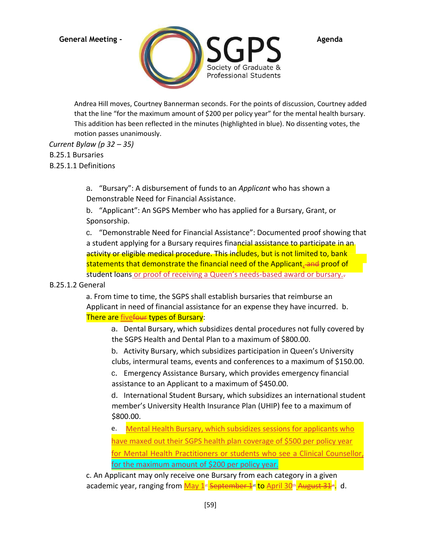

Andrea Hill moves, Courtney Bannerman seconds. For the points of discussion, Courtney added that the line "for the maximum amount of \$200 per policy year" for the mental health bursary. This addition has been reflected in the minutes (highlighted in blue). No dissenting votes, the motion passes unanimously.

*Current Bylaw (p 32 – 35)*

B.25.1 Bursaries

B.25.1.1 Definitions

a. "Bursary": A disbursement of funds to an *Applicant* who has shown a Demonstrable Need for Financial Assistance.

b. "Applicant": An SGPS Member who has applied for a Bursary, Grant, or Sponsorship.

c. "Demonstrable Need for Financial Assistance": Documented proof showing that a student applying for a Bursary requires financial assistance to participate in an activity or eligible medical procedure. This includes, but is not limited to, bank statements that demonstrate the financial need of the Applicant, and proof of student loans or proof of receiving a Queen's needs-based award or bursary..

# B.25.1.2 General

a. From time to time, the SGPS shall establish bursaries that reimburse an Applicant in need of financial assistance for an expense they have incurred. b. There are fivefour types of Bursary:

a. Dental Bursary, which subsidizes dental procedures not fully covered by the SGPS Health and Dental Plan to a maximum of \$800.00.

b. Activity Bursary, which subsidizes participation in Queen's University clubs, intermural teams, events and conferences to a maximum of \$150.00.

c. Emergency Assistance Bursary, which provides emergency financial assistance to an Applicant to a maximum of \$450.00.

d. International Student Bursary, which subsidizes an international student member's University Health Insurance Plan (UHIP) fee to a maximum of \$800.00.

e. Mental Health Bursary, which subsidizes sessions for applicants who have maxed out their SGPS health plan coverage of \$500 per policy year for Mental Health Practitioners or students who see a Clinical Counsellor, for the maximum amount of \$200 per policy year.

c. An Applicant may only receive one Bursary from each category in a given academic year, ranging from <mark>May 1st September 1st to April 30th August 31st</mark>. d.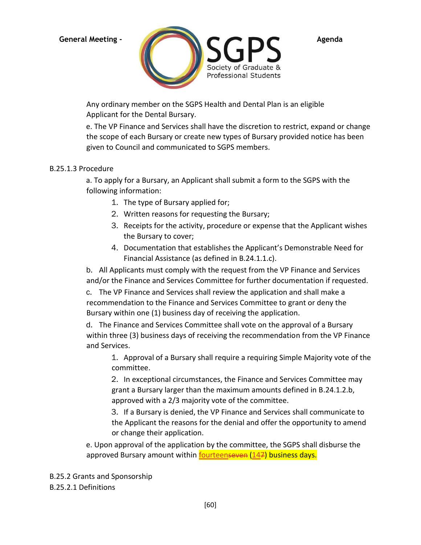

Any ordinary member on the SGPS Health and Dental Plan is an eligible Applicant for the Dental Bursary.

e. The VP Finance and Services shall have the discretion to restrict, expand or change the scope of each Bursary or create new types of Bursary provided notice has been given to Council and communicated to SGPS members.

# B.25.1.3 Procedure

a. To apply for a Bursary, an Applicant shall submit a form to the SGPS with the following information:

- 1. The type of Bursary applied for;
- 2. Written reasons for requesting the Bursary;
- 3. Receipts for the activity, procedure or expense that the Applicant wishes the Bursary to cover;
- 4. Documentation that establishes the Applicant's Demonstrable Need for Financial Assistance (as defined in B.24.1.1.c).

b. All Applicants must comply with the request from the VP Finance and Services and/or the Finance and Services Committee for further documentation if requested.

c. The VP Finance and Services shall review the application and shall make a recommendation to the Finance and Services Committee to grant or deny the Bursary within one (1) business day of receiving the application.

d. The Finance and Services Committee shall vote on the approval of a Bursary within three (3) business days of receiving the recommendation from the VP Finance and Services.

1. Approval of a Bursary shall require a requiring Simple Majority vote of the committee.

2. In exceptional circumstances, the Finance and Services Committee may grant a Bursary larger than the maximum amounts defined in B.24.1.2.b, approved with a 2/3 majority vote of the committee.

3. If a Bursary is denied, the VP Finance and Services shall communicate to the Applicant the reasons for the denial and offer the opportunity to amend or change their application.

e. Upon approval of the application by the committee, the SGPS shall disburse the approved Bursary amount within **fourteenseven (147) business days.** 

B.25.2 Grants and Sponsorship B.25.2.1 Definitions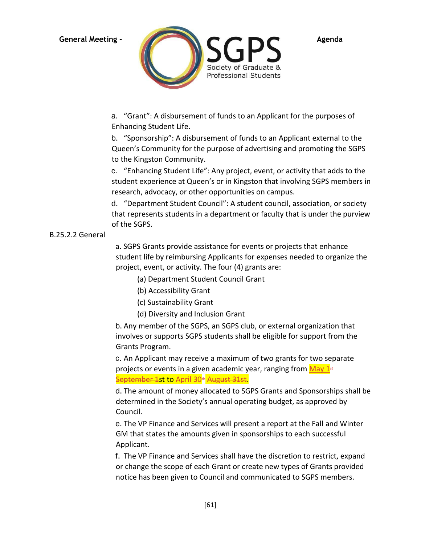

a. "Grant": A disbursement of funds to an Applicant for the purposes of Enhancing Student Life.

b. "Sponsorship": A disbursement of funds to an Applicant external to the Queen's Community for the purpose of advertising and promoting the SGPS to the Kingston Community.

c. "Enhancing Student Life": Any project, event, or activity that adds to the student experience at Queen's or in Kingston that involving SGPS members in research, advocacy, or other opportunities on campus.

d. "Department Student Council": A student council, association, or society that represents students in a department or faculty that is under the purview of the SGPS.

# B.25.2.2 General

a. SGPS Grants provide assistance for events or projects that enhance student life by reimbursing Applicants for expenses needed to organize the project, event, or activity. The four (4) grants are:

(a) Department Student Council Grant

- (b) Accessibility Grant
- (c) Sustainability Grant
- (d) Diversity and Inclusion Grant

b. Any member of the SGPS, an SGPS club, or external organization that involves or supports SGPS students shall be eligible for support from the Grants Program.

c. An Applicant may receive a maximum of two grants for two separate projects or events in a given academic year, ranging from  $\frac{May 1^{st}}{s}$ September 1st to April 30<sup>th</sup> August 31st.

d. The amount of money allocated to SGPS Grants and Sponsorships shall be determined in the Society's annual operating budget, as approved by Council.

e. The VP Finance and Services will present a report at the Fall and Winter GM that states the amounts given in sponsorships to each successful Applicant.

f. The VP Finance and Services shall have the discretion to restrict, expand or change the scope of each Grant or create new types of Grants provided notice has been given to Council and communicated to SGPS members.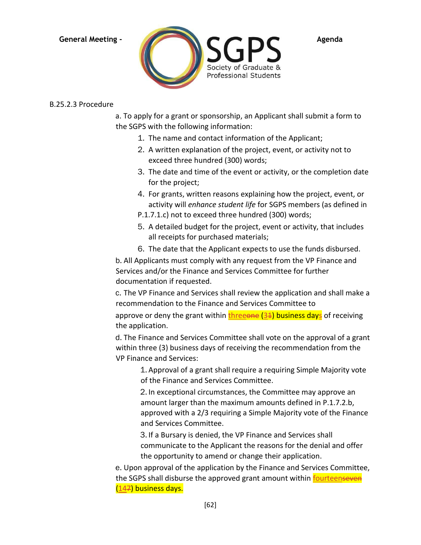

### B.25.2.3 Procedure

a. To apply for a grant or sponsorship, an Applicant shall submit a form to the SGPS with the following information:

- 1. The name and contact information of the Applicant;
- 2. A written explanation of the project, event, or activity not to exceed three hundred (300) words;
- 3. The date and time of the event or activity, or the completion date for the project;
- 4. For grants, written reasons explaining how the project, event, or activity will *enhance student life* for SGPS members (as defined in
- P.1.7.1.c) not to exceed three hundred (300) words;
- 5. A detailed budget for the project, event or activity, that includes all receipts for purchased materials;
- 6. The date that the Applicant expects to use the funds disbursed.

b. All Applicants must comply with any request from the VP Finance and Services and/or the Finance and Services Committee for further documentation if requested.

c. The VP Finance and Services shall review the application and shall make a recommendation to the Finance and Services Committee to

approve or deny the grant within  $t$ hreeone  $(34)$  business days</u> of receiving the application.

d. The Finance and Services Committee shall vote on the approval of a grant within three (3) business days of receiving the recommendation from the VP Finance and Services:

1. Approval of a grant shall require a requiring Simple Majority vote of the Finance and Services Committee.

2. In exceptional circumstances, the Committee may approve an amount larger than the maximum amounts defined in P.1.7.2.b, approved with a 2/3 requiring a Simple Majority vote of the Finance and Services Committee.

3. If a Bursary is denied, the VP Finance and Services shall communicate to the Applicant the reasons for the denial and offer the opportunity to amend or change their application.

e. Upon approval of the application by the Finance and Services Committee, the SGPS shall disburse the approved grant amount within fourteenseven (147) business days.